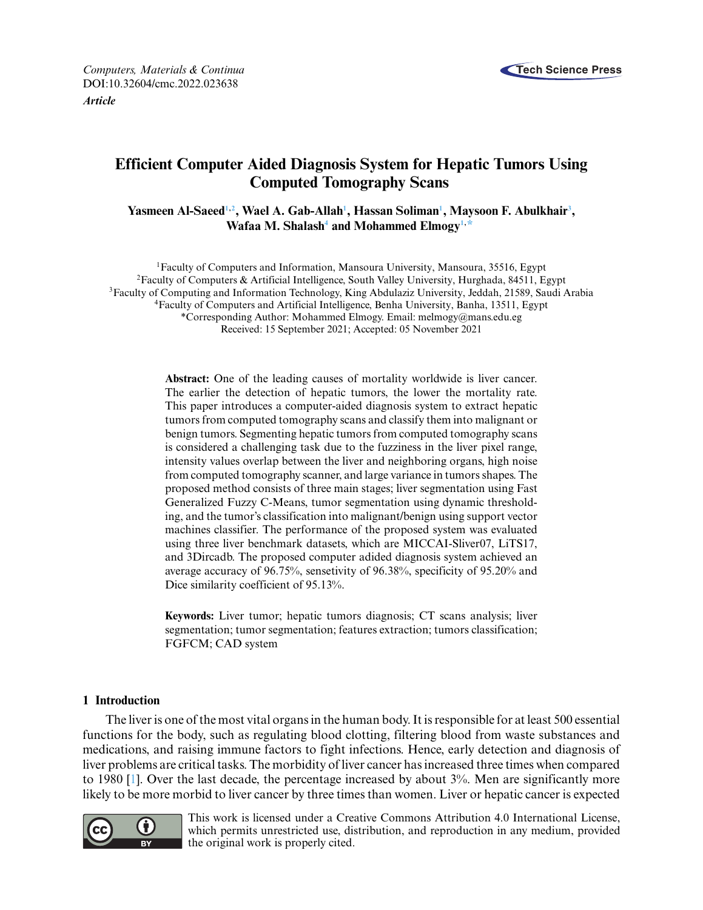

# **Efficient Computer Aided Diagnosis System for Hepatic Tumors Using Computed Tomography Scans**

**Yasmeen Al-Saeed<sup>1,[2](#page-0-1)</sup>, Wael A. Gab-Allah<sup>1</sup>, Hassan Soliman<sup>1</sup>, Maysoon F. Abulkhair<sup>3</sup>, Wafaa M. Shalas[h4](#page-0-2) and Mohammed Elmog[y1,](#page-0-0) [\\*](#page-0-3)**

<span id="page-0-2"></span><span id="page-0-1"></span><span id="page-0-0"></span>1Faculty of Computers and Information, Mansoura University, Mansoura, 35516, Egypt 2Faculty of Computers & Artificial Intelligence, South Valley University, Hurghada, 84511, Egypt <sup>3</sup>Faculty of Computing and Information Technology, King Abdulaziz University, Jeddah, 21589, Saudi Arabia 4Faculty of Computers and Artificial Intelligence, Benha University, Banha, 13511, Egypt \*Corresponding Author: Mohammed Elmogy. Email: [melmogy@mans.edu.eg](mailto:melmogy@mans.edu.eg) Received: 15 September 2021; Accepted: 05 November 2021

> <span id="page-0-3"></span>**Abstract:** One of the leading causes of mortality worldwide is liver cancer. The earlier the detection of hepatic tumors, the lower the mortality rate. This paper introduces a computer-aided diagnosis system to extract hepatic tumors from computed tomography scans and classify them into malignant or benign tumors. Segmenting hepatic tumors from computed tomography scans is considered a challenging task due to the fuzziness in the liver pixel range, intensity values overlap between the liver and neighboring organs, high noise from computed tomography scanner, and large variance in tumors shapes. The proposed method consists of three main stages; liver segmentation using Fast Generalized Fuzzy C-Means, tumor segmentation using dynamic thresholding, and the tumor's classification into malignant/benign using support vector machines classifier. The performance of the proposed system was evaluated using three liver benchmark datasets, which are MICCAI-Sliver07, LiTS17, and 3Dircadb. The proposed computer adided diagnosis system achieved an average accuracy of 96.75%, sensetivity of 96.38%, specificity of 95.20% and Dice similarity coefficient of 95.13%.

> **Keywords:** Liver tumor; hepatic tumors diagnosis; CT scans analysis; liver segmentation; tumor segmentation; features extraction; tumors classification; FGFCM; CAD system

# **1 Introduction**

The liver is one of the most vital organs in the human body. It is responsible for at least 500 essential functions for the body, such as regulating blood clotting, filtering blood from waste substances and medications, and raising immune factors to fight infections. Hence, early detection and diagnosis of liver problems are critical tasks. The morbidity of liver cancer has increased three times when compared to 1980 [\[1\]](#page-19-0). Over the last decade, the percentage increased by about 3%. Men are significantly more likely to be more morbid to liver cancer by three times than women. Liver or hepatic cancer is expected



This work is licensed under a Creative Commons Attribution 4.0 International License, which permits unrestricted use, distribution, and reproduction in any medium, provided the original work is properly cited.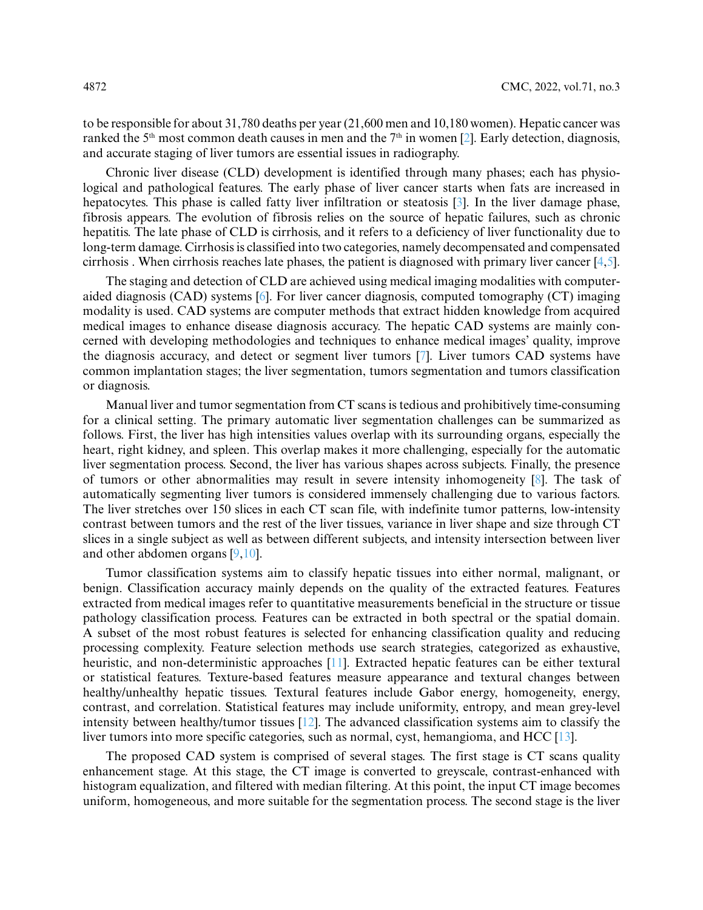to be responsible for about 31,780 deaths per year (21,600 men and 10,180 women). Hepatic cancer was ranked the 5<sup>th</sup> most common death causes in men and the 7<sup>th</sup> in women [\[2\]](#page-19-1). Early detection, diagnosis, and accurate staging of liver tumors are essential issues in radiography.

Chronic liver disease (CLD) development is identified through many phases; each has physiological and pathological features. The early phase of liver cancer starts when fats are increased in hepatocytes. This phase is called fatty liver infiltration or steatosis [\[3\]](#page-19-2). In the liver damage phase, fibrosis appears. The evolution of fibrosis relies on the source of hepatic failures, such as chronic hepatitis. The late phase of CLD is cirrhosis, and it refers to a deficiency of liver functionality due to long-term damage. Cirrhosis is classified into two categories, namely decompensated and compensated cirrhosis . When cirrhosis reaches late phases, the patient is diagnosed with primary liver cancer [\[4](#page-19-3)[,5\]](#page-19-4).

The staging and detection of CLD are achieved using medical imaging modalities with computeraided diagnosis (CAD) systems [\[6\]](#page-19-5). For liver cancer diagnosis, computed tomography (CT) imaging modality is used. CAD systems are computer methods that extract hidden knowledge from acquired medical images to enhance disease diagnosis accuracy. The hepatic CAD systems are mainly concerned with developing methodologies and techniques to enhance medical images' quality, improve the diagnosis accuracy, and detect or segment liver tumors [\[7\]](#page-20-0). Liver tumors CAD systems have common implantation stages; the liver segmentation, tumors segmentation and tumors classification or diagnosis.

Manual liver and tumor segmentation from CT scans is tedious and prohibitively time-consuming for a clinical setting. The primary automatic liver segmentation challenges can be summarized as follows. First, the liver has high intensities values overlap with its surrounding organs, especially the heart, right kidney, and spleen. This overlap makes it more challenging, especially for the automatic liver segmentation process. Second, the liver has various shapes across subjects. Finally, the presence of tumors or other abnormalities may result in severe intensity inhomogeneity [\[8\]](#page-20-1). The task of automatically segmenting liver tumors is considered immensely challenging due to various factors. The liver stretches over 150 slices in each CT scan file, with indefinite tumor patterns, low-intensity contrast between tumors and the rest of the liver tissues, variance in liver shape and size through CT slices in a single subject as well as between different subjects, and intensity intersection between liver and other abdomen organs [\[9,](#page-20-2)[10\]](#page-20-3).

Tumor classification systems aim to classify hepatic tissues into either normal, malignant, or benign. Classification accuracy mainly depends on the quality of the extracted features. Features extracted from medical images refer to quantitative measurements beneficial in the structure or tissue pathology classification process. Features can be extracted in both spectral or the spatial domain. A subset of the most robust features is selected for enhancing classification quality and reducing processing complexity. Feature selection methods use search strategies, categorized as exhaustive, heuristic, and non-deterministic approaches [\[11\]](#page-20-4). Extracted hepatic features can be either textural or statistical features. Texture-based features measure appearance and textural changes between healthy/unhealthy hepatic tissues. Textural features include Gabor energy, homogeneity, energy, contrast, and correlation. Statistical features may include uniformity, entropy, and mean grey-level intensity between healthy/tumor tissues [\[12\]](#page-20-5). The advanced classification systems aim to classify the liver tumors into more specific categories, such as normal, cyst, hemangioma, and HCC [\[13\]](#page-20-6).

The proposed CAD system is comprised of several stages. The first stage is CT scans quality enhancement stage. At this stage, the CT image is converted to greyscale, contrast-enhanced with histogram equalization, and filtered with median filtering. At this point, the input CT image becomes uniform, homogeneous, and more suitable for the segmentation process. The second stage is the liver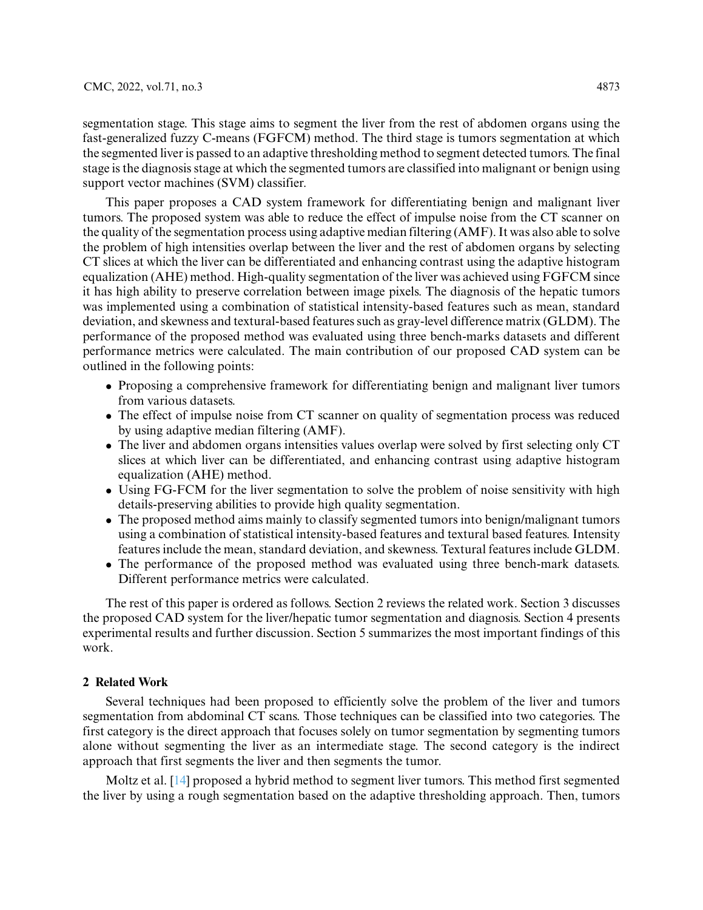segmentation stage. This stage aims to segment the liver from the rest of abdomen organs using the fast-generalized fuzzy C-means (FGFCM) method. The third stage is tumors segmentation at which the segmented liver is passed to an adaptive thresholding method to segment detected tumors. The final stage is the diagnosis stage at which the segmented tumors are classified into malignant or benign using support vector machines (SVM) classifier.

This paper proposes a CAD system framework for differentiating benign and malignant liver tumors. The proposed system was able to reduce the effect of impulse noise from the CT scanner on the quality of the segmentation process using adaptive median filtering (AMF). It was also able to solve the problem of high intensities overlap between the liver and the rest of abdomen organs by selecting CT slices at which the liver can be differentiated and enhancing contrast using the adaptive histogram equalization (AHE) method. High-quality segmentation of the liver was achieved using FGFCM since it has high ability to preserve correlation between image pixels. The diagnosis of the hepatic tumors was implemented using a combination of statistical intensity-based features such as mean, standard deviation, and skewness and textural-based features such as gray-level difference matrix (GLDM). The performance of the proposed method was evaluated using three bench-marks datasets and different performance metrics were calculated. The main contribution of our proposed CAD system can be outlined in the following points:

- Proposing a comprehensive framework for differentiating benign and malignant liver tumors from various datasets.
- The effect of impulse noise from CT scanner on quality of segmentation process was reduced by using adaptive median filtering (AMF).
- The liver and abdomen organs intensities values overlap were solved by first selecting only CT slices at which liver can be differentiated, and enhancing contrast using adaptive histogram equalization (AHE) method.
- Using FG-FCM for the liver segmentation to solve the problem of noise sensitivity with high details-preserving abilities to provide high quality segmentation.
- The proposed method aims mainly to classify segmented tumors into benign/malignant tumors using a combination of statistical intensity-based features and textural based features. Intensity features include the mean, standard deviation, and skewness. Textural features include GLDM.
- The performance of the proposed method was evaluated using three bench-mark datasets. Different performance metrics were calculated.

The rest of this paper is ordered as follows. Section 2 reviews the related work. Section 3 discusses the proposed CAD system for the liver/hepatic tumor segmentation and diagnosis. Section 4 presents experimental results and further discussion. Section 5 summarizes the most important findings of this work.

# **2 Related Work**

Several techniques had been proposed to efficiently solve the problem of the liver and tumors segmentation from abdominal CT scans. Those techniques can be classified into two categories. The first category is the direct approach that focuses solely on tumor segmentation by segmenting tumors alone without segmenting the liver as an intermediate stage. The second category is the indirect approach that first segments the liver and then segments the tumor.

Moltz et al. [\[14\]](#page-20-7) proposed a hybrid method to segment liver tumors. This method first segmented the liver by using a rough segmentation based on the adaptive thresholding approach. Then, tumors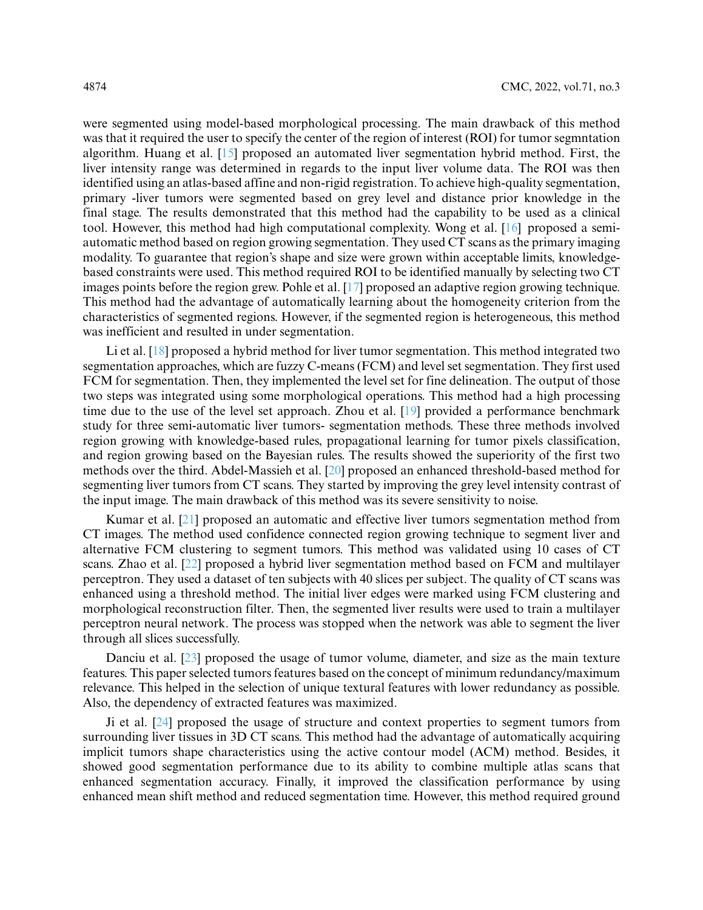were segmented using model-based morphological processing. The main drawback of this method was that it required the user to specify the center of the region of interest (ROI) for tumor segmntation algorithm. Huang et al. [\[15\]](#page-20-8) proposed an automated liver segmentation hybrid method. First, the liver intensity range was determined in regards to the input liver volume data. The ROI was then identified using an atlas-based affine and non-rigid registration. To achieve high-quality segmentation, primary -liver tumors were segmented based on grey level and distance prior knowledge in the final stage. The results demonstrated that this method had the capability to be used as a clinical tool. However, this method had high computational complexity. Wong et al. [\[16\]](#page-20-9) proposed a semiautomatic method based on region growing segmentation. They used CT scans as the primary imaging modality. To guarantee that region's shape and size were grown within acceptable limits, knowledgebased constraints were used. This method required ROI to be identified manually by selecting two CT images points before the region grew. Pohle et al. [\[17\]](#page-20-10) proposed an adaptive region growing technique. This method had the advantage of automatically learning about the homogeneity criterion from the characteristics of segmented regions. However, if the segmented region is heterogeneous, this method was inefficient and resulted in under segmentation.

Li et al. [\[18\]](#page-20-11) proposed a hybrid method for liver tumor segmentation. This method integrated two segmentation approaches, which are fuzzy C-means (FCM) and level set segmentation. They first used FCM for segmentation. Then, they implemented the level set for fine delineation. The output of those two steps was integrated using some morphological operations. This method had a high processing time due to the use of the level set approach. Zhou et al. [\[19\]](#page-20-12) provided a performance benchmark study for three semi-automatic liver tumors- segmentation methods. These three methods involved region growing with knowledge-based rules, propagational learning for tumor pixels classification, and region growing based on the Bayesian rules. The results showed the superiority of the first two methods over the third. Abdel-Massieh et al. [\[20\]](#page-20-13) proposed an enhanced threshold-based method for segmenting liver tumors from CT scans. They started by improving the grey level intensity contrast of the input image. The main drawback of this method was its severe sensitivity to noise.

Kumar et al. [\[21\]](#page-20-14) proposed an automatic and effective liver tumors segmentation method from CT images. The method used confidence connected region growing technique to segment liver and alternative FCM clustering to segment tumors. This method was validated using 10 cases of CT scans. Zhao et al. [\[22\]](#page-20-15) proposed a hybrid liver segmentation method based on FCM and multilayer perceptron. They used a dataset of ten subjects with 40 slices per subject. The quality of CT scans was enhanced using a threshold method. The initial liver edges were marked using FCM clustering and morphological reconstruction filter. Then, the segmented liver results were used to train a multilayer perceptron neural network. The process was stopped when the network was able to segment the liver through all slices successfully.

Danciu et al. [\[23\]](#page-20-16) proposed the usage of tumor volume, diameter, and size as the main texture features. This paper selected tumors features based on the concept of minimum redundancy/maximum relevance. This helped in the selection of unique textural features with lower redundancy as possible. Also, the dependency of extracted features was maximized.

Ji et al. [\[24\]](#page-20-17) proposed the usage of structure and context properties to segment tumors from surrounding liver tissues in 3D CT scans. This method had the advantage of automatically acquiring implicit tumors shape characteristics using the active contour model (ACM) method. Besides, it showed good segmentation performance due to its ability to combine multiple atlas scans that enhanced segmentation accuracy. Finally, it improved the classification performance by using enhanced mean shift method and reduced segmentation time. However, this method required ground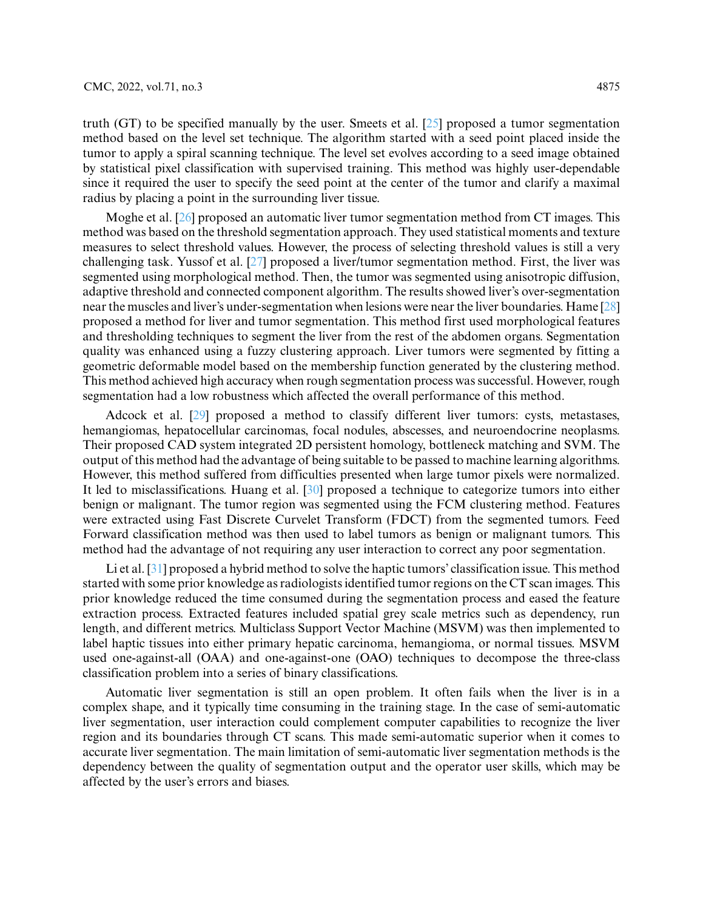truth (GT) to be specified manually by the user. Smeets et al. [\[25\]](#page-20-18) proposed a tumor segmentation method based on the level set technique. The algorithm started with a seed point placed inside the tumor to apply a spiral scanning technique. The level set evolves according to a seed image obtained by statistical pixel classification with supervised training. This method was highly user-dependable since it required the user to specify the seed point at the center of the tumor and clarify a maximal radius by placing a point in the surrounding liver tissue.

Moghe et al. [\[26\]](#page-21-0) proposed an automatic liver tumor segmentation method from CT images. This method was based on the threshold segmentation approach. They used statistical moments and texture measures to select threshold values. However, the process of selecting threshold values is still a very challenging task. Yussof et al. [\[27\]](#page-21-1) proposed a liver/tumor segmentation method. First, the liver was segmented using morphological method. Then, the tumor was segmented using anisotropic diffusion, adaptive threshold and connected component algorithm. The results showed liver's over-segmentation near the muscles and liver's under-segmentation when lesions were near the liver boundaries. Hame [\[28\]](#page-21-2) proposed a method for liver and tumor segmentation. This method first used morphological features and thresholding techniques to segment the liver from the rest of the abdomen organs. Segmentation quality was enhanced using a fuzzy clustering approach. Liver tumors were segmented by fitting a geometric deformable model based on the membership function generated by the clustering method. This method achieved high accuracy when rough segmentation process was successful. However, rough segmentation had a low robustness which affected the overall performance of this method.

Adcock et al. [\[29\]](#page-21-3) proposed a method to classify different liver tumors: cysts, metastases, hemangiomas, hepatocellular carcinomas, focal nodules, abscesses, and neuroendocrine neoplasms. Their proposed CAD system integrated 2D persistent homology, bottleneck matching and SVM. The output of this method had the advantage of being suitable to be passed to machine learning algorithms. However, this method suffered from difficulties presented when large tumor pixels were normalized. It led to misclassifications. Huang et al. [\[30\]](#page-21-4) proposed a technique to categorize tumors into either benign or malignant. The tumor region was segmented using the FCM clustering method. Features were extracted using Fast Discrete Curvelet Transform (FDCT) from the segmented tumors. Feed Forward classification method was then used to label tumors as benign or malignant tumors. This method had the advantage of not requiring any user interaction to correct any poor segmentation.

Li et al. [\[31\]](#page-21-5) proposed a hybrid method to solve the haptic tumors' classification issue. This method started with some prior knowledge as radiologists identified tumor regions on the CT scan images. This prior knowledge reduced the time consumed during the segmentation process and eased the feature extraction process. Extracted features included spatial grey scale metrics such as dependency, run length, and different metrics. Multiclass Support Vector Machine (MSVM) was then implemented to label haptic tissues into either primary hepatic carcinoma, hemangioma, or normal tissues. MSVM used one-against-all (OAA) and one-against-one (OAO) techniques to decompose the three-class classification problem into a series of binary classifications.

Automatic liver segmentation is still an open problem. It often fails when the liver is in a complex shape, and it typically time consuming in the training stage. In the case of semi-automatic liver segmentation, user interaction could complement computer capabilities to recognize the liver region and its boundaries through CT scans. This made semi-automatic superior when it comes to accurate liver segmentation. The main limitation of semi-automatic liver segmentation methods is the dependency between the quality of segmentation output and the operator user skills, which may be affected by the user's errors and biases.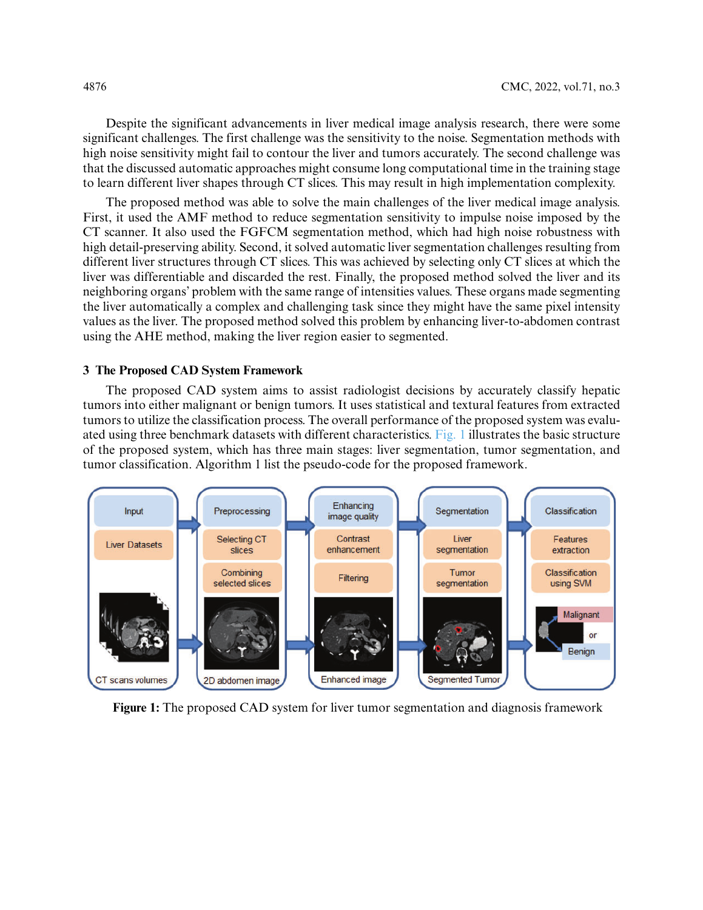Despite the significant advancements in liver medical image analysis research, there were some significant challenges. The first challenge was the sensitivity to the noise. Segmentation methods with high noise sensitivity might fail to contour the liver and tumors accurately. The second challenge was that the discussed automatic approaches might consume long computational time in the training stage to learn different liver shapes through CT slices. This may result in high implementation complexity.

The proposed method was able to solve the main challenges of the liver medical image analysis. First, it used the AMF method to reduce segmentation sensitivity to impulse noise imposed by the CT scanner. It also used the FGFCM segmentation method, which had high noise robustness with high detail-preserving ability. Second, it solved automatic liver segmentation challenges resulting from different liver structures through CT slices. This was achieved by selecting only CT slices at which the liver was differentiable and discarded the rest. Finally, the proposed method solved the liver and its neighboring organs' problem with the same range of intensities values. These organs made segmenting the liver automatically a complex and challenging task since they might have the same pixel intensity values as the liver. The proposed method solved this problem by enhancing liver-to-abdomen contrast using the AHE method, making the liver region easier to segmented.

#### **3 The Proposed CAD System Framework**

The proposed CAD system aims to assist radiologist decisions by accurately classify hepatic tumors into either malignant or benign tumors. It uses statistical and textural features from extracted tumors to utilize the classification process. The overall performance of the proposed system was evaluated using three benchmark datasets with different characteristics. [Fig. 1](#page-5-0) illustrates the basic structure of the proposed system, which has three main stages: liver segmentation, tumor segmentation, and tumor classification. Algorithm 1 list the pseudo-code for the proposed framework.



<span id="page-5-0"></span>**Figure 1:** The proposed CAD system for liver tumor segmentation and diagnosis framework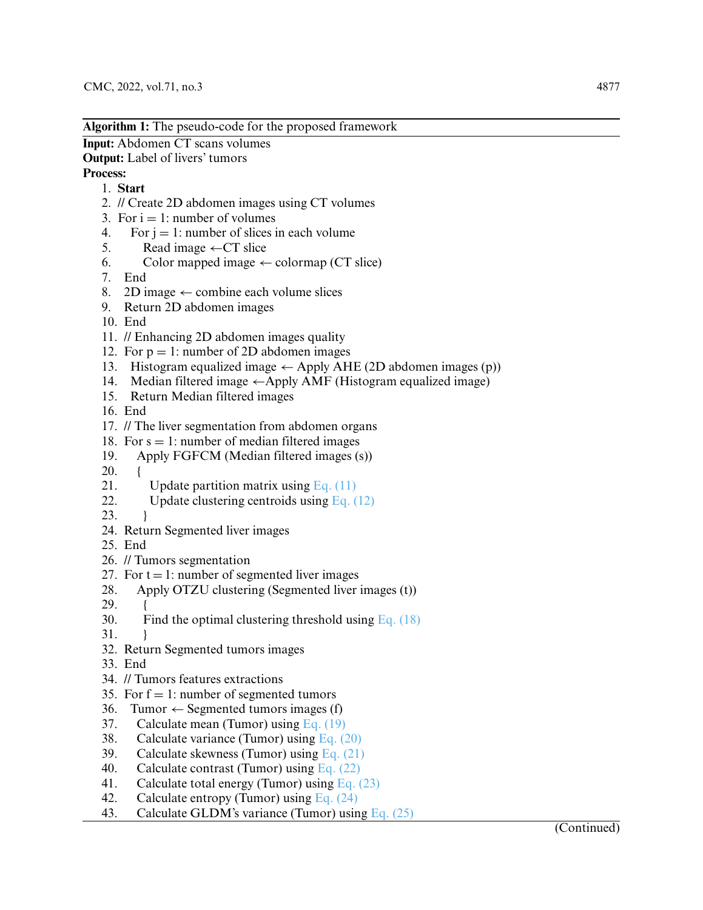**Algorithm 1:** The pseudo-code for the proposed framework

**Input:** Abdomen CT scans volumes

**Output:** Label of livers' tumors

**Process:**

- 1. **Start**
- 2. // Create 2D abdomen images using CT volumes
- 3. For  $i = 1$ : number of volumes
- 4. For  $j = 1$ : number of slices in each volume<br>5. Read image  $\leftarrow$  CT slice
- Read image  $\leftarrow$ CT slice
- 6. Color mapped image  $\leftarrow$  colormap (CT slice)
- 7. End
- 8. 2D image  $\leftarrow$  combine each volume slices
- 9. Return 2D abdomen images
- 10. End
- 11. // Enhancing 2D abdomen images quality
- 12. For  $p = 1$ : number of 2D abdomen images
- 13. Histogram equalized image  $\leftarrow$  Apply AHE (2D abdomen images (p))
- 14. Median filtered image  $\leftarrow$ Apply AMF (Histogram equalized image)
- 15. Return Median filtered images
- 16. End
- 17. // The liver segmentation from abdomen organs
- 18. For  $s = 1$ : number of median filtered images
- 19. Apply FGFCM (Median filtered images (s))
- 20. {
- 21. Update partition matrix using Eq.  $(11)$
- 22. Update clustering centroids using [Eq. \(12\)](#page-10-1)
- 23. }
- 24. Return Segmented liver images
- 25. End
- 26. // Tumors segmentation
- 27. For  $t = 1$ : number of segmented liver images
- 28. Apply OTZU clustering (Segmented liver images (t))
- 29. {
- 30. Find the optimal clustering threshold using Eq.  $(18)$
- $31.$
- 32. Return Segmented tumors images
- 33. End
- 34. // Tumors features extractions
- 35. For  $f = 1$ : number of segmented tumors
- 36. Tumor  $\leftarrow$  Segmented tumors images (f)
- 37. Calculate mean (Tumor) using Eq.  $(19)$
- 38. Calculate variance (Tumor) using [Eq. \(20\)](#page-12-0)
- 39. Calculate skewness (Tumor) using [Eq. \(21\)](#page-12-1)
- 40. Calculate contrast (Tumor) using [Eq. \(22\)](#page-12-2)
- 41. Calculate total energy (Tumor) using [Eq. \(23\)](#page-12-3)
- 42. Calculate entropy (Tumor) using [Eq. \(24\)](#page-12-4)
- 43. Calculate GLDM's variance (Tumor) using [Eq. \(25\)](#page-12-5)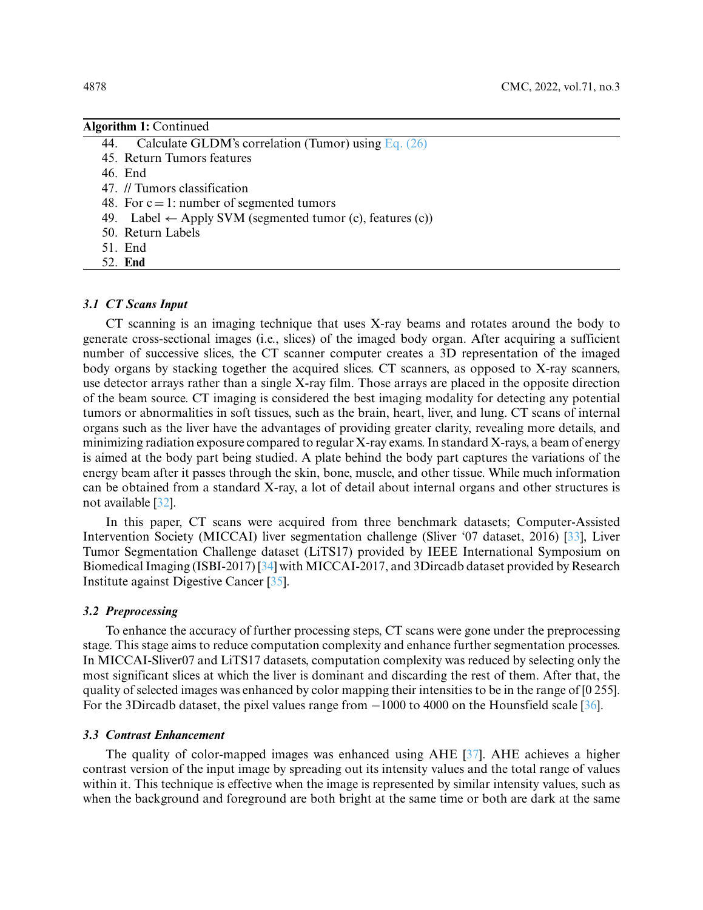|     | <b>Algorithm 1:</b> Continued                         |
|-----|-------------------------------------------------------|
| 44. | Calculate GLDM's correlation (Tumor) using Eq. $(26)$ |
|     | 45. Return Tumors features                            |

- 46. End
- 47. // Tumors classification
- 48. For  $c = 1$ : number of segmented tumors
- 49. Label  $\leftarrow$  Apply SVM (segmented tumor (c), features (c))
- 50. Return Labels
- 51. End
- 52. **End**

#### *3.1 CT Scans Input*

CT scanning is an imaging technique that uses X-ray beams and rotates around the body to generate cross-sectional images (i.e., slices) of the imaged body organ. After acquiring a sufficient number of successive slices, the CT scanner computer creates a 3D representation of the imaged body organs by stacking together the acquired slices. CT scanners, as opposed to X-ray scanners, use detector arrays rather than a single X-ray film. Those arrays are placed in the opposite direction of the beam source. CT imaging is considered the best imaging modality for detecting any potential tumors or abnormalities in soft tissues, such as the brain, heart, liver, and lung. CT scans of internal organs such as the liver have the advantages of providing greater clarity, revealing more details, and minimizing radiation exposure compared to regular X-ray exams. In standard X-rays, a beam of energy is aimed at the body part being studied. A plate behind the body part captures the variations of the energy beam after it passes through the skin, bone, muscle, and other tissue. While much information can be obtained from a standard X-ray, a lot of detail about internal organs and other structures is not available [\[32\]](#page-21-6).

In this paper, CT scans were acquired from three benchmark datasets; Computer-Assisted Intervention Society (MICCAI) liver segmentation challenge (Sliver '07 dataset, 2016) [\[33\]](#page-21-7), Liver Tumor Segmentation Challenge dataset (LiTS17) provided by IEEE International Symposium on Biomedical Imaging (ISBI-2017) [\[34\]](#page-21-8) with MICCAI-2017, and 3Dircadb dataset provided by Research Institute against Digestive Cancer [\[35\]](#page-21-9).

# *3.2 Preprocessing*

To enhance the accuracy of further processing steps, CT scans were gone under the preprocessing stage. This stage aims to reduce computation complexity and enhance further segmentation processes. In MICCAI-Sliver07 and LiTS17 datasets, computation complexity was reduced by selecting only the most significant slices at which the liver is dominant and discarding the rest of them. After that, the quality of selected images was enhanced by color mapping their intensities to be in the range of [0 255]. For the 3Dircadb dataset, the pixel values range from −1000 to 4000 on the Hounsfield scale [\[36\]](#page-21-10).

#### *3.3 Contrast Enhancement*

The quality of color-mapped images was enhanced using AHE [\[37\]](#page-21-11). AHE achieves a higher contrast version of the input image by spreading out its intensity values and the total range of values within it. This technique is effective when the image is represented by similar intensity values, such as when the background and foreground are both bright at the same time or both are dark at the same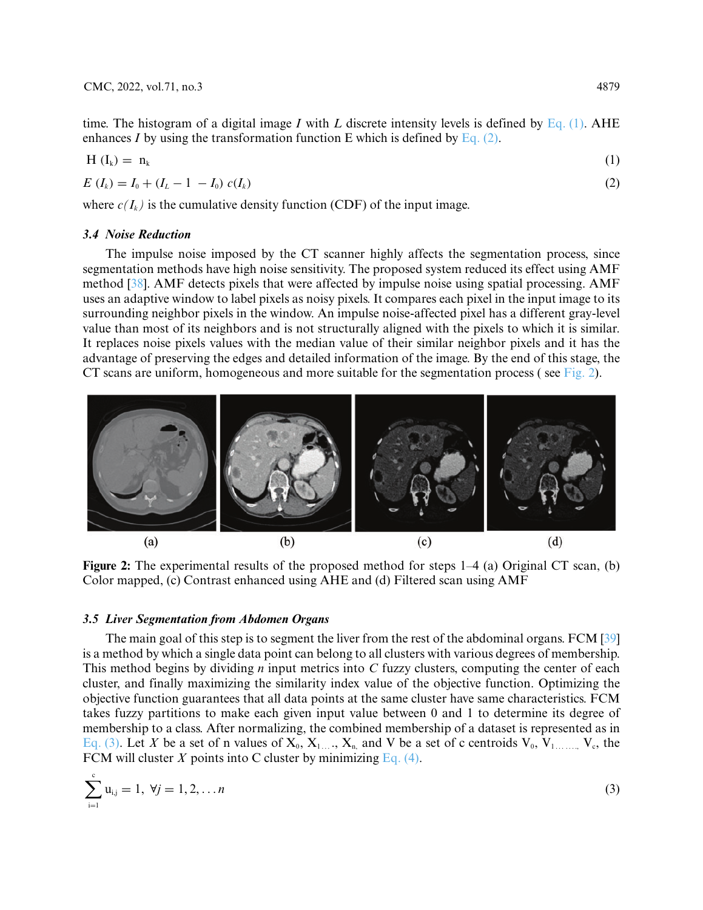time. The histogram of a digital image *I* with *L* discrete intensity levels is defined by [Eq. \(1\).](#page-8-0) AHE enhances *I* by using the transformation function E which is defined by Eq.  $(2)$ .

<span id="page-8-0"></span>
$$
H(I_k) = n_k \tag{1}
$$

<span id="page-8-1"></span>
$$
E(I_k) = I_0 + (I_L - 1 - I_0) c(I_k)
$$
\n(2)

where  $c(I_k)$  is the cumulative density function (CDF) of the input image.

# *3.4 Noise Reduction*

The impulse noise imposed by the CT scanner highly affects the segmentation process, since segmentation methods have high noise sensitivity. The proposed system reduced its effect using AMF method [\[38\]](#page-21-12). AMF detects pixels that were affected by impulse noise using spatial processing. AMF uses an adaptive window to label pixels as noisy pixels. It compares each pixel in the input image to its surrounding neighbor pixels in the window. An impulse noise-affected pixel has a different gray-level value than most of its neighbors and is not structurally aligned with the pixels to which it is similar. It replaces noise pixels values with the median value of their similar neighbor pixels and it has the advantage of preserving the edges and detailed information of the image. By the end of this stage, the CT scans are uniform, homogeneous and more suitable for the segmentation process (see [Fig. 2\)](#page-8-2).



<span id="page-8-2"></span>**Figure 2:** The experimental results of the proposed method for steps 1–4 (a) Original CT scan, (b) Color mapped, (c) Contrast enhanced using AHE and (d) Filtered scan using AMF

# *3.5 Liver Segmentation from Abdomen Organs*

The main goal of this step is to segment the liver from the rest of the abdominal organs. FCM [\[39\]](#page-21-13) is a method by which a single data point can belong to all clusters with various degrees of membership. This method begins by dividing *n* input metrics into *C* fuzzy clusters, computing the center of each cluster, and finally maximizing the similarity index value of the objective function. Optimizing the objective function guarantees that all data points at the same cluster have same characteristics. FCM takes fuzzy partitions to make each given input value between 0 and 1 to determine its degree of membership to a class. After normalizing, the combined membership of a dataset is represented as in [Eq. \(3\).](#page-8-3) Let *X* be a set of n values of  $X_0$ ,  $X_1$ , ...,  $X_n$ , and V be a set of c centroids  $V_0$ ,  $V_1$ , ...,  $V_c$ , the FCM will cluster  $X$  points into C cluster by minimizing [Eq. \(4\).](#page-9-0)

<span id="page-8-3"></span>
$$
\sum_{i=1}^{c} u_{i,j} = 1, \ \forall j = 1, 2, \dots n
$$
 (3)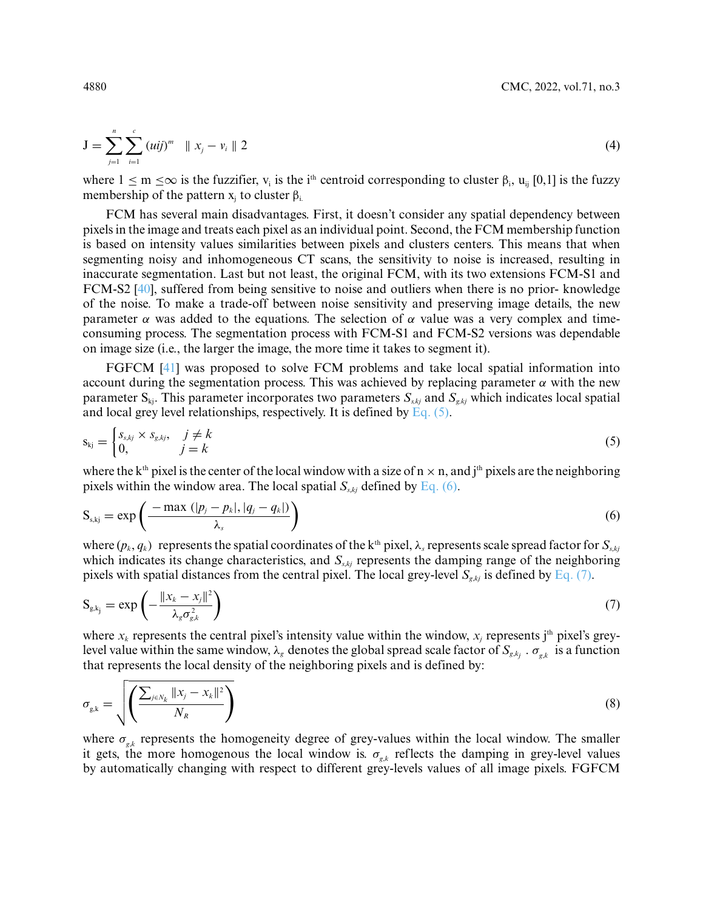<span id="page-9-0"></span>
$$
J = \sum_{j=1}^{n} \sum_{i=1}^{c} (uij)^{m} \parallel x_{j} - v_{i} \parallel 2
$$
 (4)

where  $1 \le m \le \infty$  is the fuzzifier, v<sub>i</sub> is the i<sup>th</sup> centroid corresponding to cluster  $\beta_i$ ,  $u_{ii}$  [0,1] is the fuzzy membership of the pattern  $x_i$  to cluster  $\beta_i$ .

FCM has several main disadvantages. First, it doesn't consider any spatial dependency between pixels in the image and treats each pixel as an individual point. Second, the FCM membership function is based on intensity values similarities between pixels and clusters centers. This means that when segmenting noisy and inhomogeneous CT scans, the sensitivity to noise is increased, resulting in inaccurate segmentation. Last but not least, the original FCM, with its two extensions FCM-S1 and FCM-S2 [\[40\]](#page-21-14), suffered from being sensitive to noise and outliers when there is no prior- knowledge of the noise. To make a trade-off between noise sensitivity and preserving image details, the new parameter  $\alpha$  was added to the equations. The selection of  $\alpha$  value was a very complex and timeconsuming process. The segmentation process with FCM-S1 and FCM-S2 versions was dependable on image size (i.e., the larger the image, the more time it takes to segment it).

FGFCM [\[41\]](#page-21-15) was proposed to solve FCM problems and take local spatial information into account during the segmentation process. This was achieved by replacing parameter  $\alpha$  with the new parameter  $S_{ki}$ . This parameter incorporates two parameters  $S_{skj}$  and  $S_{g,ki}$  which indicates local spatial and local grey level relationships, respectively. It is defined by [Eq. \(5\).](#page-9-1)

<span id="page-9-1"></span>
$$
s_{kj} = \begin{cases} s_{s,kj} \times s_{g,kj}, & j \neq k \\ 0, & j = k \end{cases}
$$
 (5)

where the k<sup>th</sup> pixel is the center of the local window with a size of  $n \times n$ , and j<sup>th</sup> pixels are the neighboring pixels within the window area. The local spatial  $S_{s,kj}$  defined by [Eq. \(6\).](#page-9-2)

<span id="page-9-2"></span>
$$
S_{s,kj} = \exp\left(\frac{-\max\left(|p_j - p_k|, |q_j - q_k|\right)}{\lambda_s}\right) \tag{6}
$$

where  $(p_k, q_k)$  represents the spatial coordinates of the k<sup>th</sup> pixel,  $\lambda_s$  represents scale spread factor for  $S_{s,kj}$ which indicates its change characteristics, and *S<sub>s,kj</sub>* represents the damping range of the neighboring pixels with spatial distances from the central pixel. The local grey-level  $S_{g,kj}$  is defined by [Eq. \(7\).](#page-9-3)

<span id="page-9-3"></span>
$$
\mathbf{S}_{g,k_j} = \exp\left(-\frac{\|x_k - x_j\|^2}{\lambda_g \sigma_{g,k}^2}\right) \tag{7}
$$

where  $x_k$  represents the central pixel's intensity value within the window,  $x_i$  represents j<sup>th</sup> pixel's greylevel value within the same window,  $λ_g$  denotes the global spread scale factor of  $S_{g,k_i}$ .  $σ_{g,k_i}$  is a function that represents the local density of the neighboring pixels and is defined by:

$$
\sigma_{g,k} = \sqrt{\left(\frac{\sum_{j \in N_k} ||x_j - x_k||^2}{N_R}\right)}
$$
(8)

where  $\sigma_{g,k}$  represents the homogeneity degree of grey-values within the local window. The smaller it gets, the more homogenous the local window is.  $\sigma_{g,k}$  reflects the damping in grey-level values by automatically changing with respect to different grey-levels values of all image pixels. FGFCM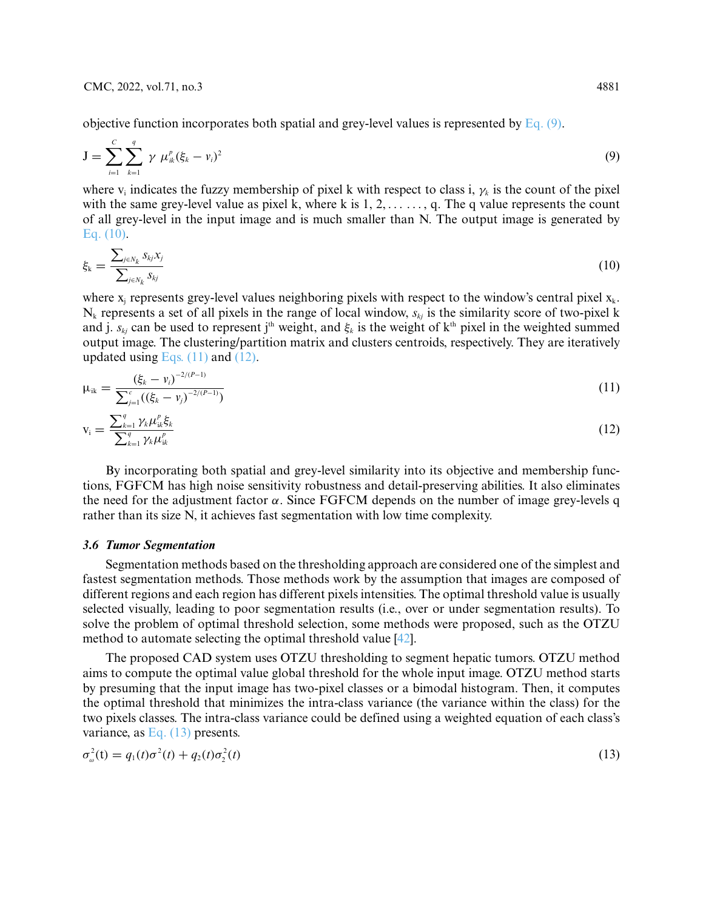<span id="page-10-2"></span>
$$
J = \sum_{i=1}^{C} \sum_{k=1}^{q} \gamma \mu_{ik}^{p} (\xi_{k} - v_{i})^{2}
$$
 (9)

where  $v_i$  indicates the fuzzy membership of pixel k with respect to class i,  $\gamma_k$  is the count of the pixel with the same grey-level value as pixel k, where k is  $1, 2, \ldots, q$ . The q value represents the count of all grey-level in the input image and is much smaller than N. The output image is generated by [Eq. \(10\).](#page-10-3)

<span id="page-10-3"></span>
$$
\xi_{k} = \frac{\sum_{j \in N_k} s_{kj} x_j}{\sum_{j \in N_k} s_{kj}}
$$
\n(10)

where  $x_i$  represents grey-level values neighboring pixels with respect to the window's central pixel  $x_k$ .  $N_k$  represents a set of all pixels in the range of local window,  $s_k$  is the similarity score of two-pixel k and j.  $s_{ki}$  can be used to represent j<sup>th</sup> weight, and  $\xi_k$  is the weight of k<sup>th</sup> pixel in the weighted summed output image. The clustering/partition matrix and clusters centroids, respectively. They are iteratively updated using Eqs.  $(11)$  and  $(12)$ .

<span id="page-10-0"></span>
$$
\mu_{ik} = \frac{(\xi_k - \nu_i)^{-2/(P-1)}}{\sum_{j=1}^c ((\xi_k - \nu_j)^{-2/(P-1)})}
$$
(11)

<span id="page-10-1"></span>
$$
v_i = \frac{\sum_{k=1}^{q} \gamma_k \mu_{ik}^p \xi_k}{\sum_{k=1}^{q} \gamma_k \mu_{ik}^p}
$$
(12)

By incorporating both spatial and grey-level similarity into its objective and membership functions, FGFCM has high noise sensitivity robustness and detail-preserving abilities. It also eliminates the need for the adjustment factor  $\alpha$ . Since FGFCM depends on the number of image grey-levels q rather than its size N, it achieves fast segmentation with low time complexity.

#### *3.6 Tumor Segmentation*

Segmentation methods based on the thresholding approach are considered one of the simplest and fastest segmentation methods. Those methods work by the assumption that images are composed of different regions and each region has different pixels intensities. The optimal threshold value is usually selected visually, leading to poor segmentation results (i.e., over or under segmentation results). To solve the problem of optimal threshold selection, some methods were proposed, such as the OTZU method to automate selecting the optimal threshold value [\[42\]](#page-21-16).

The proposed CAD system uses OTZU thresholding to segment hepatic tumors. OTZU method aims to compute the optimal value global threshold for the whole input image. OTZU method starts by presuming that the input image has two-pixel classes or a bimodal histogram. Then, it computes the optimal threshold that minimizes the intra-class variance (the variance within the class) for the two pixels classes. The intra-class variance could be defined using a weighted equation of each class's variance, as [Eq. \(13\)](#page-10-4) presents.

<span id="page-10-4"></span>
$$
\sigma_{\omega}^2(t) = q_1(t)\sigma^2(t) + q_2(t)\sigma_2^2(t)
$$
\n(13)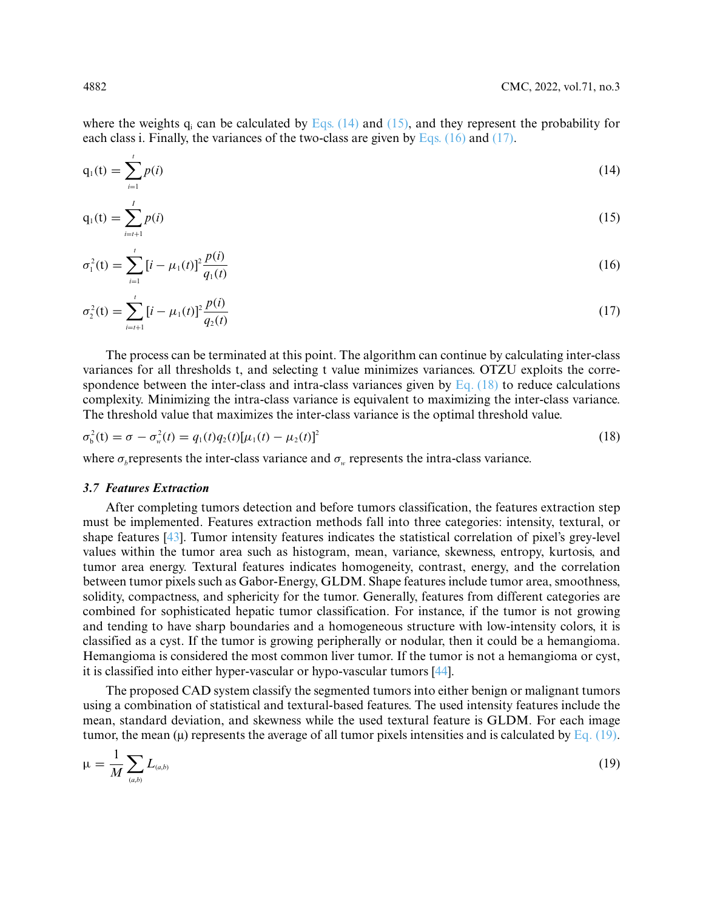where the weights q<sub>i</sub> can be calculated by [Eqs. \(14\)](#page-11-2) and [\(15\),](#page-11-3) and they represent the probability for each class i. Finally, the variances of the two-class are given by Eqs.  $(16)$  and  $(17)$ .

<span id="page-11-2"></span>
$$
q_1(t) = \sum_{i=1}^{t} p(i) \tag{14}
$$

<span id="page-11-3"></span>
$$
q_1(t) = \sum_{i=t+1}^{I} p(i) \tag{15}
$$

<span id="page-11-4"></span>
$$
\sigma_1^2(t) = \sum_{i=1}^t \left[i - \mu_1(t)\right]^2 \frac{p(i)}{q_1(t)}
$$
\n(16)

<span id="page-11-5"></span>
$$
\sigma_2^2(t) = \sum_{i=t+1}^t [i - \mu_1(t)]^2 \frac{p(i)}{q_2(t)}
$$
(17)

The process can be terminated at this point. The algorithm can continue by calculating inter-class variances for all thresholds t, and selecting t value minimizes variances. OTZU exploits the correspondence between the inter-class and intra-class variances given by  $Eq. (18)$  to reduce calculations complexity. Minimizing the intra-class variance is equivalent to maximizing the inter-class variance. The threshold value that maximizes the inter-class variance is the optimal threshold value.

<span id="page-11-0"></span>
$$
\sigma_{b}^{2}(t) = \sigma - \sigma_{w}^{2}(t) = q_{1}(t)q_{2}(t)[\mu_{1}(t) - \mu_{2}(t)]^{2}
$$
\n(18)

where  $\sigma_{\lambda}$  represents the inter-class variance and  $\sigma_{\mu}$  represents the intra-class variance.

#### *3.7 Features Extraction*

After completing tumors detection and before tumors classification, the features extraction step must be implemented. Features extraction methods fall into three categories: intensity, textural, or shape features [\[43\]](#page-21-17). Tumor intensity features indicates the statistical correlation of pixel's grey-level values within the tumor area such as histogram, mean, variance, skewness, entropy, kurtosis, and tumor area energy. Textural features indicates homogeneity, contrast, energy, and the correlation between tumor pixels such as Gabor-Energy, GLDM. Shape features include tumor area, smoothness, solidity, compactness, and sphericity for the tumor. Generally, features from different categories are combined for sophisticated hepatic tumor classification. For instance, if the tumor is not growing and tending to have sharp boundaries and a homogeneous structure with low-intensity colors, it is classified as a cyst. If the tumor is growing peripherally or nodular, then it could be a hemangioma. Hemangioma is considered the most common liver tumor. If the tumor is not a hemangioma or cyst, it is classified into either hyper-vascular or hypo-vascular tumors [\[44\]](#page-21-18).

The proposed CAD system classify the segmented tumors into either benign or malignant tumors using a combination of statistical and textural-based features. The used intensity features include the mean, standard deviation, and skewness while the used textural feature is GLDM. For each image tumor, the mean  $(\mu)$  represents the average of all tumor pixels intensities and is calculated by [Eq. \(19\).](#page-11-1)

<span id="page-11-1"></span>
$$
\mu = \frac{1}{M} \sum_{(a,b)} L_{(a,b)} \tag{19}
$$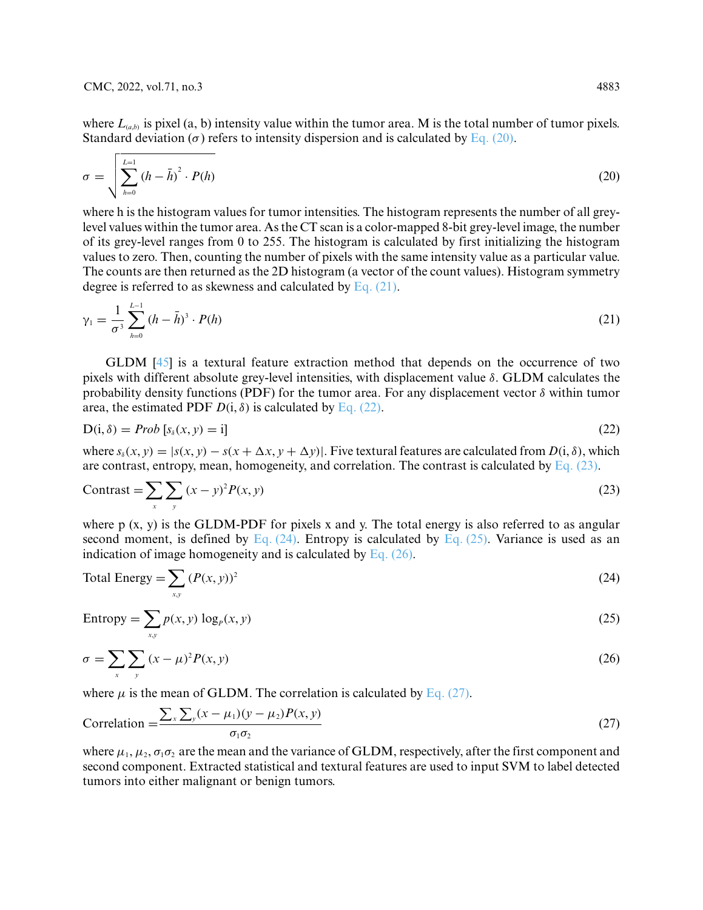where  $L_{(a,b)}$  is pixel (a, b) intensity value within the tumor area. M is the total number of tumor pixels. Standard deviation  $(\sigma)$  refers to intensity dispersion and is calculated by [Eq. \(20\).](#page-12-0)

<span id="page-12-0"></span>
$$
\sigma = \sqrt{\sum_{h=0}^{L=1} (h - \bar{h})^2} \cdot P(h) \tag{20}
$$

where h is the histogram values for tumor intensities. The histogram represents the number of all greylevel values within the tumor area. As the CT scan is a color-mapped 8-bit grey-level image, the number of its grey-level ranges from 0 to 255. The histogram is calculated by first initializing the histogram values to zero. Then, counting the number of pixels with the same intensity value as a particular value. The counts are then returned as the 2D histogram (a vector of the count values). Histogram symmetry degree is referred to as skewness and calculated by [Eq. \(21\).](#page-12-1)

<span id="page-12-1"></span>
$$
\gamma_1 = \frac{1}{\sigma^3} \sum_{h=0}^{L-1} (h - \bar{h})^3 \cdot P(h) \tag{21}
$$

GLDM [\[45\]](#page-21-19) is a textural feature extraction method that depends on the occurrence of two pixels with different absolute grey-level intensities, with displacement value *δ*. GLDM calculates the probability density functions (PDF) for the tumor area. For any displacement vector  $\delta$  within tumor area, the estimated PDF  $D(i, \delta)$  is calculated by [Eq. \(22\).](#page-12-2)

<span id="page-12-2"></span>
$$
D(i, \delta) = Prob[s_{\delta}(x, y) = i]
$$
\n(22)

where  $s_\delta(x, y) = |s(x, y) - s(x + \Delta x, y + \Delta y)|$ . Five textural features are calculated from  $D(i, \delta)$ , which are contrast, entropy, mean, homogeneity, and correlation. The contrast is calculated by [Eq. \(23\).](#page-12-3)

<span id="page-12-3"></span>
$$
Contrast = \sum_{x} \sum_{y} (x - y)^2 P(x, y)
$$
\n(23)

where  $p(x, y)$  is the GLDM-PDF for pixels x and y. The total energy is also referred to as angular second moment, is defined by Eq.  $(24)$ . Entropy is calculated by Eq.  $(25)$ . Variance is used as an indication of image homogeneity and is calculated by [Eq. \(26\).](#page-12-6)

<span id="page-12-4"></span>
$$
Total Energy = \sum_{x,y} (P(x,y))^2
$$
\n(24)

<span id="page-12-5"></span>Entropy = 
$$
\sum_{x,y} p(x,y) \log_p(x,y)
$$
 (25)

<span id="page-12-6"></span>
$$
\sigma = \sum_{x} \sum_{y} (x - \mu)^2 P(x, y) \tag{26}
$$

where  $\mu$  is the mean of GLDM. The correlation is calculated by [Eq. \(27\).](#page-12-7)

<span id="page-12-7"></span>Correlation 
$$
= \frac{\sum_{x} \sum_{y} (x - \mu_1)(y - \mu_2) P(x, y)}{\sigma_1 \sigma_2}
$$
 (27)

where  $\mu_1, \mu_2, \sigma_1 \sigma_2$  are the mean and the variance of GLDM, respectively, after the first component and second component. Extracted statistical and textural features are used to input SVM to label detected tumors into either malignant or benign tumors.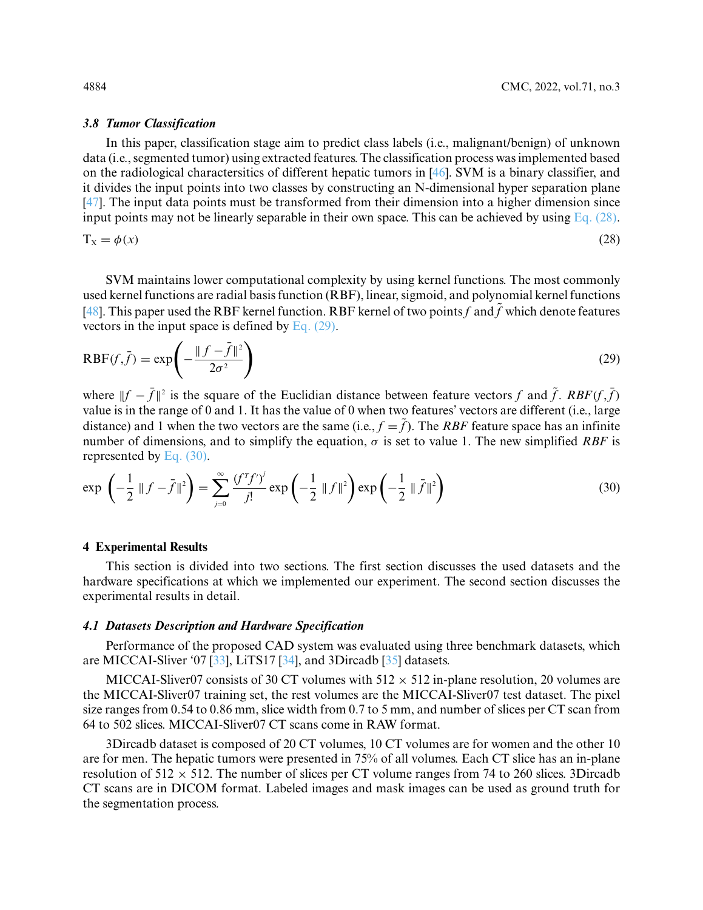#### *3.8 Tumor Classification*

In this paper, classification stage aim to predict class labels (i.e., malignant/benign) of unknown data (i.e., segmented tumor) using extracted features. The classification process was implemented based on the radiological charactersitics of different hepatic tumors in [\[46\]](#page-22-0). SVM is a binary classifier, and it divides the input points into two classes by constructing an N-dimensional hyper separation plane [\[47\]](#page-22-1). The input data points must be transformed from their dimension into a higher dimension since input points may not be linearly separable in their own space. This can be achieved by using  $Eq. (28)$ .

<span id="page-13-0"></span>
$$
T_x = \phi(x) \tag{28}
$$

SVM maintains lower computational complexity by using kernel functions. The most commonly used kernel functions are radial basis function (RBF), linear, sigmoid, and polynomial kernel functions [\[48\]](#page-22-2). This paper used the RBF kernel function. RBF kernel of two points  $f$  and  $\tilde{f}$  which denote features vectors in the input space is defined by Eq.  $(29)$ .

<span id="page-13-1"></span>
$$
RBF(f,\bar{f}) = \exp\left(-\frac{\|f-\bar{f}\|^2}{2\sigma^2}\right)
$$
 (29)

where  $||f - \bar{f}||^2$  is the square of the Euclidian distance between feature vectors *f* and  $\tilde{f}$ . *RBF*(*f*,  $\bar{f}$ ) value is in the range of 0 and 1. It has the value of 0 when two features' vectors are different (i.e., large distance) and 1 when the two vectors are the same (i.e.,  $f = \tilde{f}$ ). The *RBF* feature space has an infinite number of dimensions, and to simplify the equation,  $\sigma$  is set to value 1. The new simplified *RBF* is represented by [Eq. \(30\).](#page-13-2)

<span id="page-13-2"></span>
$$
\exp\left(-\frac{1}{2} \|f - \bar{f}\|^2\right) = \sum_{j=0}^{\infty} \frac{(f^T f')^j}{j!} \exp\left(-\frac{1}{2} \|f\|^2\right) \exp\left(-\frac{1}{2} \|\bar{f}\|^2\right) \tag{30}
$$

#### **4 Experimental Results**

This section is divided into two sections. The first section discusses the used datasets and the hardware specifications at which we implemented our experiment. The second section discusses the experimental results in detail.

#### *4.1 Datasets Description and Hardware Specification*

Performance of the proposed CAD system was evaluated using three benchmark datasets, which are MICCAI-Sliver '07 [\[33\]](#page-21-7), LiTS17 [\[34\]](#page-21-8), and 3Dircadb [\[35\]](#page-21-9) datasets.

MICCAI-Sliver07 consists of 30 CT volumes with  $512 \times 512$  in-plane resolution, 20 volumes are the MICCAI-Sliver07 training set, the rest volumes are the MICCAI-Sliver07 test dataset. The pixel size ranges from 0.54 to 0.86 mm, slice width from 0.7 to 5 mm, and number of slices per CT scan from 64 to 502 slices. MICCAI-Sliver07 CT scans come in RAW format.

3Dircadb dataset is composed of 20 CT volumes, 10 CT volumes are for women and the other 10 are for men. The hepatic tumors were presented in 75% of all volumes. Each CT slice has an in-plane resolution of  $512 \times 512$ . The number of slices per CT volume ranges from 74 to 260 slices. 3Dircadb CT scans are in DICOM format. Labeled images and mask images can be used as ground truth for the segmentation process.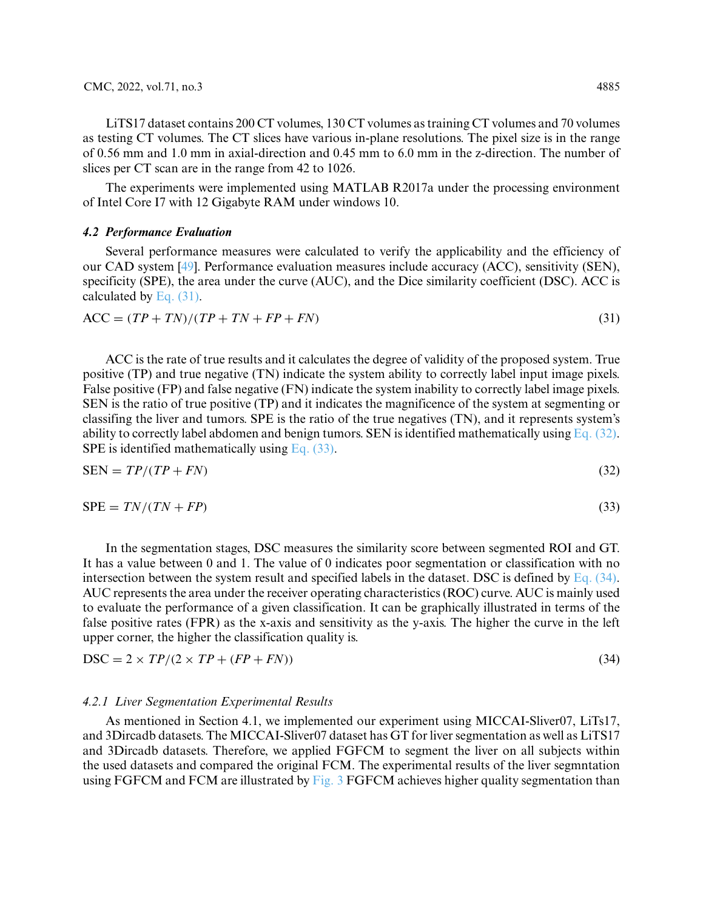LiTS17 dataset contains 200 CT volumes, 130 CT volumes as training CT volumes and 70 volumes as testing CT volumes. The CT slices have various in-plane resolutions. The pixel size is in the range of 0.56 mm and 1.0 mm in axial-direction and 0.45 mm to 6.0 mm in the z-direction. The number of slices per CT scan are in the range from 42 to 1026.

The experiments were implemented using MATLAB R2017a under the processing environment of Intel Core I7 with 12 Gigabyte RAM under windows 10.

#### *4.2 Performance Evaluation*

Several performance measures were calculated to verify the applicability and the efficiency of our CAD system [\[49\]](#page-22-3). Performance evaluation measures include accuracy (ACC), sensitivity (SEN), specificity (SPE), the area under the curve (AUC), and the Dice similarity coefficient (DSC). ACC is calculated by [Eq. \(31\).](#page-14-0)

<span id="page-14-0"></span>
$$
ACC = (TP + TN)/(TP + TN + FP + FN)
$$
\n(31)

ACC is the rate of true results and it calculates the degree of validity of the proposed system. True positive (TP) and true negative (TN) indicate the system ability to correctly label input image pixels. False positive (FP) and false negative (FN) indicate the system inability to correctly label image pixels. SEN is the ratio of true positive (TP) and it indicates the magnificence of the system at segmenting or classifing the liver and tumors. SPE is the ratio of the true negatives (TN), and it represents system's ability to correctly label abdomen and benign tumors. SEN is identified mathematically using Eq.  $(32)$ . SPE is identified mathematically using Eq.  $(33)$ .

<span id="page-14-1"></span>
$$
SEN = TP/(TP + FN) \tag{32}
$$

<span id="page-14-2"></span>
$$
SPE = TN/(TN + FP)
$$
\n(33)

In the segmentation stages, DSC measures the similarity score between segmented ROI and GT. It has a value between 0 and 1. The value of 0 indicates poor segmentation or classification with no intersection between the system result and specified labels in the dataset. DSC is defined by [Eq. \(34\).](#page-14-3) AUC represents the area under the receiver operating characteristics (ROC) curve. AUC is mainly used to evaluate the performance of a given classification. It can be graphically illustrated in terms of the false positive rates (FPR) as the x-axis and sensitivity as the y-axis. The higher the curve in the left upper corner, the higher the classification quality is.

<span id="page-14-3"></span>
$$
DSC = 2 \times TP/(2 \times TP + (FP + FN))
$$
\n(34)

# *4.2.1 Liver Segmentation Experimental Results*

As mentioned in Section 4.1, we implemented our experiment using MICCAI-Sliver07, LiTs17, and 3Dircadb datasets. The MICCAI-Sliver07 dataset has GT for liver segmentation as well as LiTS17 and 3Dircadb datasets. Therefore, we applied FGFCM to segment the liver on all subjects within the used datasets and compared the original FCM. The experimental results of the liver segmntation using FGFCM and FCM are illustrated by [Fig. 3](#page-15-0) FGFCM achieves higher quality segmentation than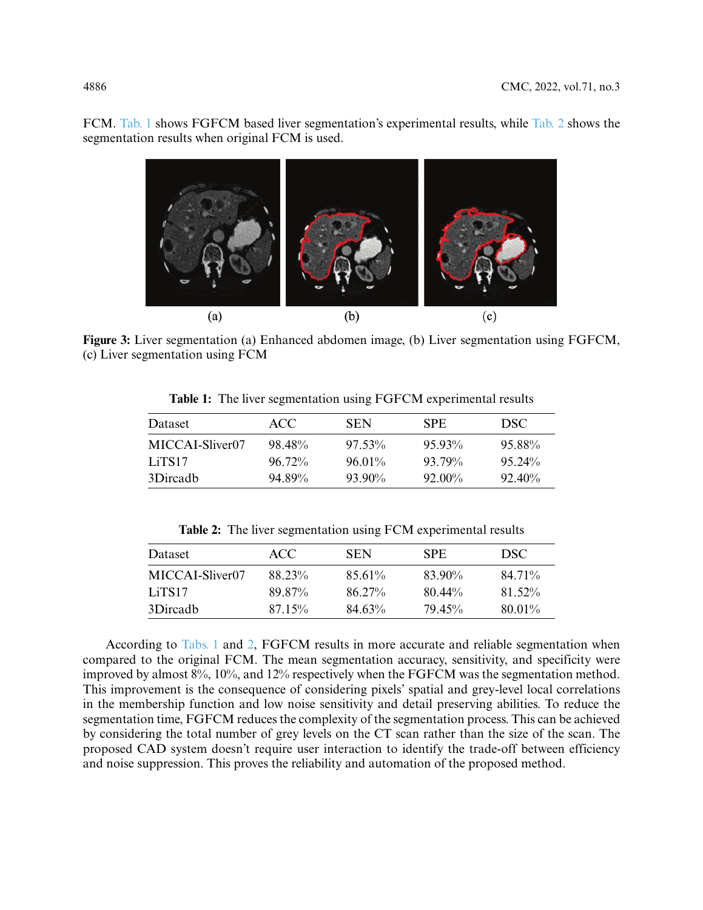FCM. [Tab. 1](#page-15-1) shows FGFCM based liver segmentation's experimental results, while [Tab. 2](#page-15-2) shows the segmentation results when original FCM is used.



**Figure 3:** Liver segmentation (a) Enhanced abdomen image, (b) Liver segmentation using FGFCM, (c) Liver segmentation using FCM

<span id="page-15-0"></span>**Table 1:** The liver segmentation using FGFCM experimental results

<span id="page-15-1"></span>

| Dataset            | ACC.      | <b>SEN</b> | <b>SPE</b> | DSC.      |
|--------------------|-----------|------------|------------|-----------|
| MICCAL-Sliver07    | 98.48%    | $97.53\%$  | $95.93\%$  | 95.88%    |
| LiTS <sub>17</sub> | $96.72\%$ | $96.01\%$  | $93.79\%$  | $95.24\%$ |
| 3Dircadb           | 94.89%    | $93.90\%$  | $92.00\%$  | $92.40\%$ |

**Table 2:** The liver segmentation using FCM experimental results

<span id="page-15-2"></span>

| Dataset            | ACC    | <b>SEN</b> | SPE.      | DSC.      |
|--------------------|--------|------------|-----------|-----------|
| MICCAL-Sliver07    | 88 23% | $85.61\%$  | 83.90%    | 84.71%    |
| LiTS <sub>17</sub> | 89.87% | $86.27\%$  | $80.44\%$ | $81.52\%$ |
| 3Direadh           | 87.15% | 84.63%     | 79.45%    | 80.01%    |

According to [Tabs. 1](#page-15-1) and [2,](#page-15-2) FGFCM results in more accurate and reliable segmentation when compared to the original FCM. The mean segmentation accuracy, sensitivity, and specificity were improved by almost 8%, 10%, and 12% respectively when the FGFCM was the segmentation method. This improvement is the consequence of considering pixels' spatial and grey-level local correlations in the membership function and low noise sensitivity and detail preserving abilities. To reduce the segmentation time, FGFCM reduces the complexity of the segmentation process. This can be achieved by considering the total number of grey levels on the CT scan rather than the size of the scan. The proposed CAD system doesn't require user interaction to identify the trade-off between efficiency and noise suppression. This proves the reliability and automation of the proposed method.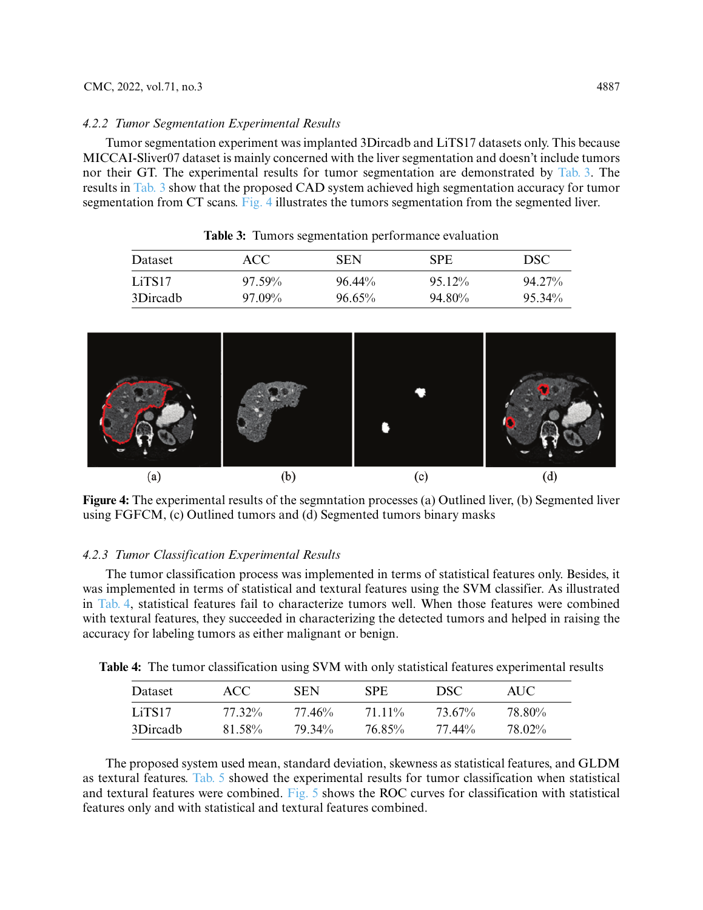#### CMC, 2022, vol.71, no.3 4887

#### *4.2.2 Tumor Segmentation Experimental Results*

Tumor segmentation experiment was implanted 3Dircadb and LiTS17 datasets only. This because MICCAI-Sliver07 dataset is mainly concerned with the liver segmentation and doesn't include tumors nor their GT. The experimental results for tumor segmentation are demonstrated by [Tab. 3.](#page-16-0) The results in [Tab. 3](#page-16-0) show that the proposed CAD system achieved high segmentation accuracy for tumor segmentation from CT scans. [Fig. 4](#page-16-1) illustrates the tumors segmentation from the segmented liver.

<span id="page-16-0"></span>

| Dataset  | ACC.      | SEN       | SPE.      | <b>DSC</b> |
|----------|-----------|-----------|-----------|------------|
| LiTS17   | $97.59\%$ | $96.44\%$ | $95.12\%$ | 94.27%     |
| 3Dircadb | $97.09\%$ | $96.65\%$ | 94.80%    | $95.34\%$  |

**Table 3:** Tumors segmentation performance evaluation



**Figure 4:** The experimental results of the segmntation processes (a) Outlined liver, (b) Segmented liver using FGFCM, (c) Outlined tumors and (d) Segmented tumors binary masks

# <span id="page-16-1"></span>*4.2.3 Tumor Classification Experimental Results*

The tumor classification process was implemented in terms of statistical features only. Besides, it was implemented in terms of statistical and textural features using the SVM classifier. As illustrated in [Tab. 4,](#page-16-2) statistical features fail to characterize tumors well. When those features were combined with textural features, they succeeded in characterizing the detected tumors and helped in raising the accuracy for labeling tumors as either malignant or benign.

<span id="page-16-2"></span>**Table 4:** The tumor classification using SVM with only statistical features experimental results

| Dataset            | ACC.   | <b>SEN</b>           | SPE.      | DSC.   | AUC.   |
|--------------------|--------|----------------------|-----------|--------|--------|
| LiTS <sub>17</sub> | 77.32% | 77.46 <sup>o</sup> % | $71.11\%$ | 73.67% | 78.80% |
| 3Dircadb           | 81.58% | 79.34%               | 76.85%    | 77.44% | 78.02% |

The proposed system used mean, standard deviation, skewness as statistical features, and GLDM as textural features. [Tab. 5](#page-17-0) showed the experimental results for tumor classification when statistical and textural features were combined. [Fig. 5](#page-17-1) shows the ROC curves for classification with statistical features only and with statistical and textural features combined.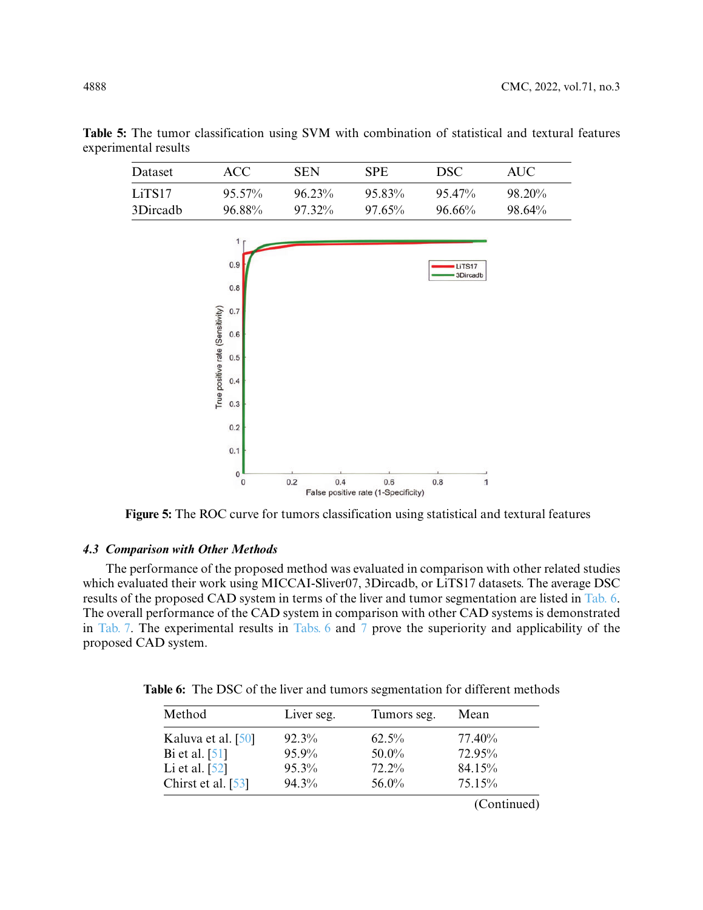| Dataset  | ACC.   | <b>SEN</b> | SPE.      | <b>DSC</b> | AUC.   |
|----------|--------|------------|-----------|------------|--------|
| LiTS17   | 95.57% | $96.23\%$  | 95.83%    | $95.47\%$  | 98.20% |
| 3Dircadb | 96.88% | 97.32%     | $97.65\%$ | 96.66%     | 98.64% |

<span id="page-17-0"></span>**Table 5:** The tumor classification using SVM with combination of statistical and textural features experimental results



<span id="page-17-1"></span>**Figure 5:** The ROC curve for tumors classification using statistical and textural features

#### *4.3 Comparison with Other Methods*

The performance of the proposed method was evaluated in comparison with other related studies which evaluated their work using MICCAI-Sliver07, 3Dircadb, or LiTS17 datasets. The average DSC results of the proposed CAD system in terms of the liver and tumor segmentation are listed in [Tab. 6.](#page-17-2) The overall performance of the CAD system in comparison with other CAD systems is demonstrated in [Tab. 7.](#page-18-0) The experimental results in [Tabs. 6](#page-17-2) and [7](#page-18-0) prove the superiority and applicability of the proposed CAD system.

**Table 6:** The DSC of the liver and tumors segmentation for different methods

<span id="page-17-2"></span>

| Method             | Liver seg. | Tumors seg. | Mean      |
|--------------------|------------|-------------|-----------|
| Kaluva et al. [50] | $92.3\%$   | 62.5%       | $77.40\%$ |
| Bi et al. $[51]$   | $95.9\%$   | $50.0\%$    | 72.95%    |
| Li et al. $[52]$   | 95.3%      | 72.2%       | 84.15%    |
| Chirst et al. [53] | 94.3%      | 56.0%       | 75.15%    |
|                    |            |             |           |

(Continued)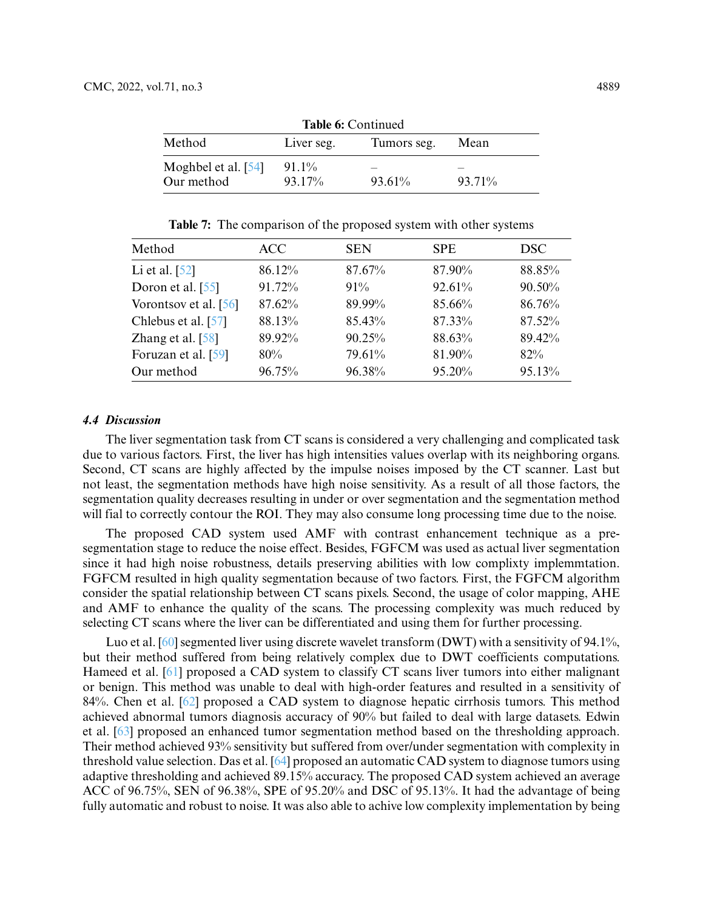| <b>Table 6:</b> Continued           |                 |             |        |  |  |
|-------------------------------------|-----------------|-------------|--------|--|--|
| Method                              | Liver seg.      | Tumors seg. | Mean   |  |  |
| Moghbel et al. $[54]$<br>Our method | 91.1%<br>93.17% | 93.61%      | 93.71% |  |  |

**Table 6:** Continued

**Table 7:** The comparison of the proposed system with other systems

<span id="page-18-0"></span>

| Method                | <b>ACC</b> | <b>SEN</b> | <b>SPE</b> | <b>DSC</b> |
|-----------------------|------------|------------|------------|------------|
| Li et al. $[52]$      | 86.12%     | 87.67%     | 87.90%     | 88.85%     |
| Doron et al. $[55]$   | 91.72%     | 91%        | 92.61%     | 90.50%     |
| Vorontsov et al. [56] | 87.62%     | 89.99%     | 85.66%     | 86.76%     |
| Chlebus et al. [57]   | 88.13%     | 85.43%     | 87.33%     | 87.52%     |
| Zhang et al. [58]     | 89.92%     | 90.25%     | 88.63%     | 89.42%     |
| Foruzan et al. [59]   | 80%        | 79.61%     | 81.90%     | 82%        |
| Our method            | 96.75%     | 96.38%     | 95.20%     | 95.13%     |

# *4.4 Discussion*

The liver segmentation task from CT scans is considered a very challenging and complicated task due to various factors. First, the liver has high intensities values overlap with its neighboring organs. Second, CT scans are highly affected by the impulse noises imposed by the CT scanner. Last but not least, the segmentation methods have high noise sensitivity. As a result of all those factors, the segmentation quality decreases resulting in under or over segmentation and the segmentation method will fial to correctly contour the ROI. They may also consume long processing time due to the noise.

The proposed CAD system used AMF with contrast enhancement technique as a presegmentation stage to reduce the noise effect. Besides, FGFCM was used as actual liver segmentation since it had high noise robustness, details preserving abilities with low complixty implemmtation. FGFCM resulted in high quality segmentation because of two factors. First, the FGFCM algorithm consider the spatial relationship between CT scans pixels. Second, the usage of color mapping, AHE and AMF to enhance the quality of the scans. The processing complexity was much reduced by selecting CT scans where the liver can be differentiated and using them for further processing.

Luo et al. [\[60\]](#page-22-14) segmented liver using discrete wavelet transform (DWT) with a sensitivity of 94.1%, but their method suffered from being relatively complex due to DWT coefficients computations. Hameed et al. [\[61\]](#page-22-15) proposed a CAD system to classify CT scans liver tumors into either malignant or benign. This method was unable to deal with high-order features and resulted in a sensitivity of 84%. Chen et al. [\[62\]](#page-22-16) proposed a CAD system to diagnose hepatic cirrhosis tumors. This method achieved abnormal tumors diagnosis accuracy of 90% but failed to deal with large datasets. Edwin et al. [\[63\]](#page-23-0) proposed an enhanced tumor segmentation method based on the thresholding approach. Their method achieved 93% sensitivity but suffered from over/under segmentation with complexity in threshold value selection. Das et al. [\[64\]](#page-23-1) proposed an automatic CAD system to diagnose tumors using adaptive thresholding and achieved 89.15% accuracy. The proposed CAD system achieved an average ACC of 96.75%, SEN of 96.38%, SPE of 95.20% and DSC of 95.13%. It had the advantage of being fully automatic and robust to noise. It was also able to achive low complexity implementation by being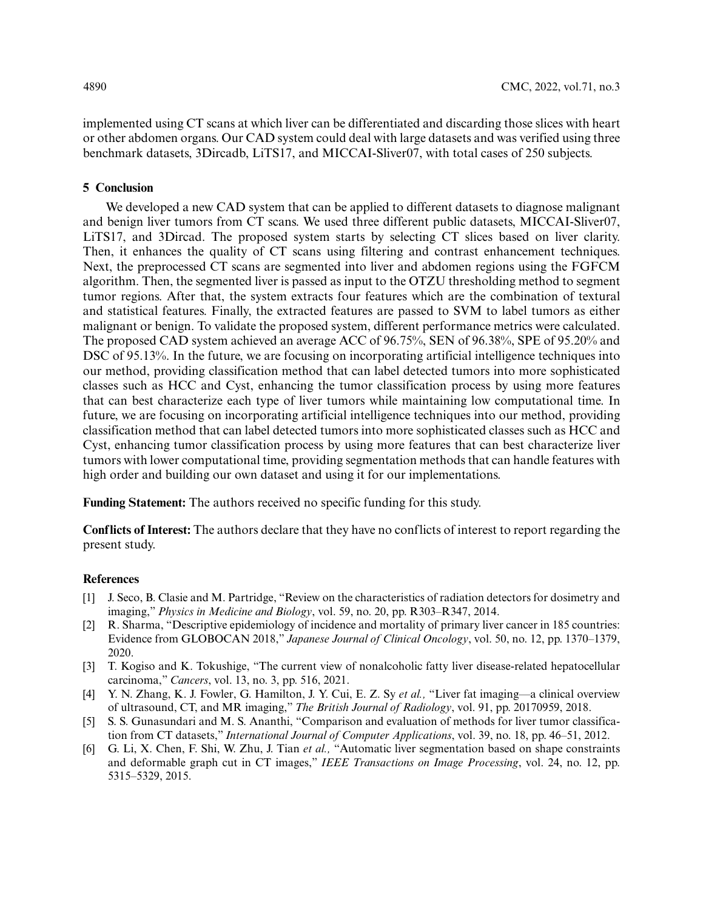implemented using CT scans at which liver can be differentiated and discarding those slices with heart or other abdomen organs. Our CAD system could deal with large datasets and was verified using three benchmark datasets, 3Dircadb, LiTS17, and MICCAI-Sliver07, with total cases of 250 subjects.

# **5 Conclusion**

We developed a new CAD system that can be applied to different datasets to diagnose malignant and benign liver tumors from CT scans. We used three different public datasets, MICCAI-Sliver07, LiTS17, and 3Dircad. The proposed system starts by selecting CT slices based on liver clarity. Then, it enhances the quality of CT scans using filtering and contrast enhancement techniques. Next, the preprocessed CT scans are segmented into liver and abdomen regions using the FGFCM algorithm. Then, the segmented liver is passed as input to the OTZU thresholding method to segment tumor regions. After that, the system extracts four features which are the combination of textural and statistical features. Finally, the extracted features are passed to SVM to label tumors as either malignant or benign. To validate the proposed system, different performance metrics were calculated. The proposed CAD system achieved an average ACC of 96.75%, SEN of 96.38%, SPE of 95.20% and DSC of 95.13%. In the future, we are focusing on incorporating artificial intelligence techniques into our method, providing classification method that can label detected tumors into more sophisticated classes such as HCC and Cyst, enhancing the tumor classification process by using more features that can best characterize each type of liver tumors while maintaining low computational time. In future, we are focusing on incorporating artificial intelligence techniques into our method, providing classification method that can label detected tumors into more sophisticated classes such as HCC and Cyst, enhancing tumor classification process by using more features that can best characterize liver tumors with lower computational time, providing segmentation methods that can handle features with high order and building our own dataset and using it for our implementations.

**Funding Statement:** The authors received no specific funding for this study.

**Conflicts of Interest:** The authors declare that they have no conflicts of interest to report regarding the present study.

#### **References**

- <span id="page-19-0"></span>[1] J. Seco, B. Clasie and M. Partridge, "Review on the characteristics of radiation detectors for dosimetry and imaging," *Physics in Medicine and Biology*, vol. 59, no. 20, pp. R303–R347, 2014.
- <span id="page-19-1"></span>[2] R. Sharma, "Descriptive epidemiology of incidence and mortality of primary liver cancer in 185 countries: Evidence from GLOBOCAN 2018," *Japanese Journal of Clinical Oncology*, vol. 50, no. 12, pp. 1370–1379, 2020.
- <span id="page-19-2"></span>[3] T. Kogiso and K. Tokushige, "The current view of nonalcoholic fatty liver disease-related hepatocellular carcinoma," *Cancers*, vol. 13, no. 3, pp. 516, 2021.
- <span id="page-19-3"></span>[4] Y. N. Zhang, K. J. Fowler, G. Hamilton, J. Y. Cui, E. Z. Sy *et al.,* "Liver fat imaging—a clinical overview of ultrasound, CT, and MR imaging," *The British Journal of Radiology*, vol. 91, pp. 20170959, 2018.
- <span id="page-19-4"></span>[5] S. S. Gunasundari and M. S. Ananthi, "Comparison and evaluation of methods for liver tumor classification from CT datasets," *International Journal of Computer Applications*, vol. 39, no. 18, pp. 46–51, 2012.
- <span id="page-19-5"></span>[6] G. Li, X. Chen, F. Shi, W. Zhu, J. Tian *et al.,* "Automatic liver segmentation based on shape constraints and deformable graph cut in CT images," *IEEE Transactions on Image Processing*, vol. 24, no. 12, pp. 5315–5329, 2015.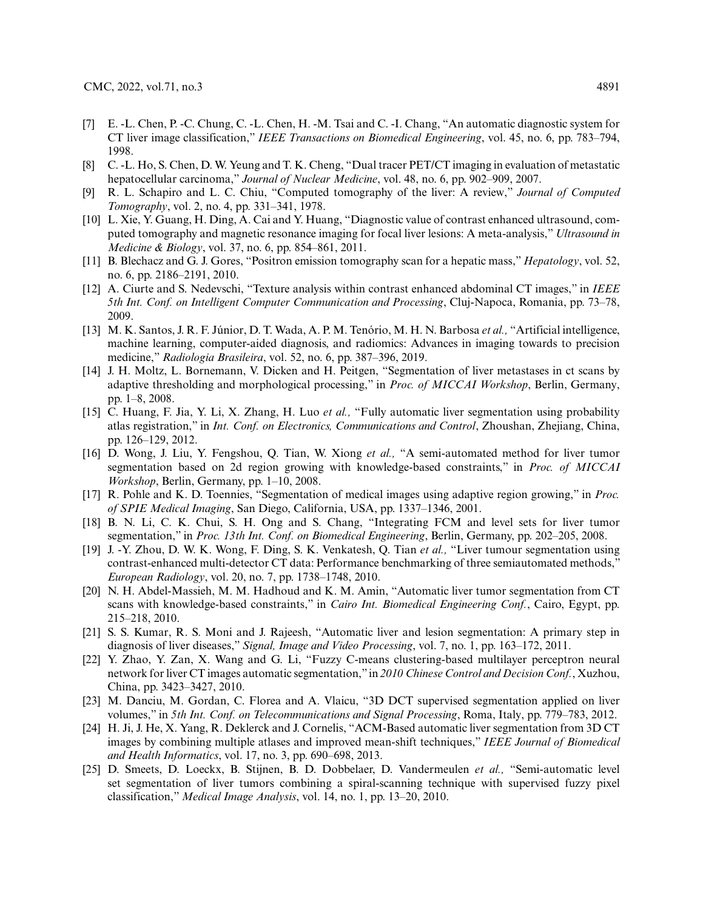- <span id="page-20-0"></span>[7] E. -L. Chen, P. -C. Chung, C. -L. Chen, H. -M. Tsai and C. -I. Chang, "An automatic diagnostic system for CT liver image classification," *IEEE Transactions on Biomedical Engineering*, vol. 45, no. 6, pp. 783–794, 1998.
- <span id="page-20-1"></span>[8] C. -L. Ho, S. Chen, D. W. Yeung and T. K. Cheng, "Dual tracer PET/CT imaging in evaluation of metastatic hepatocellular carcinoma," *Journal of Nuclear Medicine*, vol. 48, no. 6, pp. 902–909, 2007.
- <span id="page-20-2"></span>[9] R. L. Schapiro and L. C. Chiu, "Computed tomography of the liver: A review," *Journal of Computed Tomography*, vol. 2, no. 4, pp. 331–341, 1978.
- <span id="page-20-3"></span>[10] L. Xie, Y. Guang, H. Ding, A. Cai and Y. Huang, "Diagnostic value of contrast enhanced ultrasound, computed tomography and magnetic resonance imaging for focal liver lesions: A meta-analysis," *Ultrasound in Medicine & Biology*, vol. 37, no. 6, pp. 854–861, 2011.
- <span id="page-20-4"></span>[11] B. Blechacz and G. J. Gores, "Positron emission tomography scan for a hepatic mass," *Hepatology*, vol. 52, no. 6, pp. 2186–2191, 2010.
- <span id="page-20-5"></span>[12] A. Ciurte and S. Nedevschi, "Texture analysis within contrast enhanced abdominal CT images," in *IEEE 5th Int. Conf. on Intelligent Computer Communication and Processing*, Cluj-Napoca, Romania, pp. 73–78, 2009.
- <span id="page-20-6"></span>[13] M. K. Santos, J. R. F. Júnior, D. T. Wada, A. P. M. Tenório, M. H. N. Barbosa *et al.,* "Artificial intelligence, machine learning, computer-aided diagnosis, and radiomics: Advances in imaging towards to precision medicine," *Radiologia Brasileira*, vol. 52, no. 6, pp. 387–396, 2019.
- <span id="page-20-7"></span>[14] J. H. Moltz, L. Bornemann, V. Dicken and H. Peitgen, "Segmentation of liver metastases in ct scans by adaptive thresholding and morphological processing," in *Proc. of MICCAI Workshop*, Berlin, Germany, pp. 1–8, 2008.
- <span id="page-20-8"></span>[15] C. Huang, F. Jia, Y. Li, X. Zhang, H. Luo *et al.,* "Fully automatic liver segmentation using probability atlas registration," in *Int. Conf. on Electronics, Communications and Control*, Zhoushan, Zhejiang, China, pp. 126–129, 2012.
- <span id="page-20-9"></span>[16] D. Wong, J. Liu, Y. Fengshou, Q. Tian, W. Xiong *et al.,* "A semi-automated method for liver tumor segmentation based on 2d region growing with knowledge-based constraints," in *Proc. of MICCAI Workshop*, Berlin, Germany, pp. 1–10, 2008.
- <span id="page-20-10"></span>[17] R. Pohle and K. D. Toennies, "Segmentation of medical images using adaptive region growing," in *Proc. of SPIE Medical Imaging*, San Diego, California, USA, pp. 1337–1346, 2001.
- <span id="page-20-11"></span>[18] B. N. Li, C. K. Chui, S. H. Ong and S. Chang, "Integrating FCM and level sets for liver tumor segmentation," in *Proc. 13th Int. Conf. on Biomedical Engineering*, Berlin, Germany, pp. 202–205, 2008.
- <span id="page-20-12"></span>[19] J. -Y. Zhou, D. W. K. Wong, F. Ding, S. K. Venkatesh, Q. Tian *et al.,* "Liver tumour segmentation using contrast-enhanced multi-detector CT data: Performance benchmarking of three semiautomated methods," *European Radiology*, vol. 20, no. 7, pp. 1738–1748, 2010.
- <span id="page-20-13"></span>[20] N. H. Abdel-Massieh, M. M. Hadhoud and K. M. Amin, "Automatic liver tumor segmentation from CT scans with knowledge-based constraints," in *Cairo Int. Biomedical Engineering Conf.*, Cairo, Egypt, pp. 215–218, 2010.
- <span id="page-20-14"></span>[21] S. S. Kumar, R. S. Moni and J. Rajeesh, "Automatic liver and lesion segmentation: A primary step in diagnosis of liver diseases," *Signal, Image and Video Processing*, vol. 7, no. 1, pp. 163–172, 2011.
- <span id="page-20-15"></span>[22] Y. Zhao, Y. Zan, X. Wang and G. Li, "Fuzzy C-means clustering-based multilayer perceptron neural network for liver CT images automatic segmentation,"in *2010 Chinese Control and Decision Conf.*, Xuzhou, China, pp. 3423–3427, 2010.
- <span id="page-20-16"></span>[23] M. Danciu, M. Gordan, C. Florea and A. Vlaicu, "3D DCT supervised segmentation applied on liver volumes," in *5th Int. Conf. on Telecommunications and Signal Processing*, Roma, Italy, pp. 779–783, 2012.
- <span id="page-20-17"></span>[24] H. Ji, J. He, X. Yang, R. Deklerck and J. Cornelis, "ACM-Based automatic liver segmentation from 3D CT images by combining multiple atlases and improved mean-shift techniques," *IEEE Journal of Biomedical and Health Informatics*, vol. 17, no. 3, pp. 690–698, 2013.
- <span id="page-20-18"></span>[25] D. Smeets, D. Loeckx, B. Stijnen, B. D. Dobbelaer, D. Vandermeulen *et al.,* "Semi-automatic level set segmentation of liver tumors combining a spiral-scanning technique with supervised fuzzy pixel classification," *Medical Image Analysis*, vol. 14, no. 1, pp. 13–20, 2010.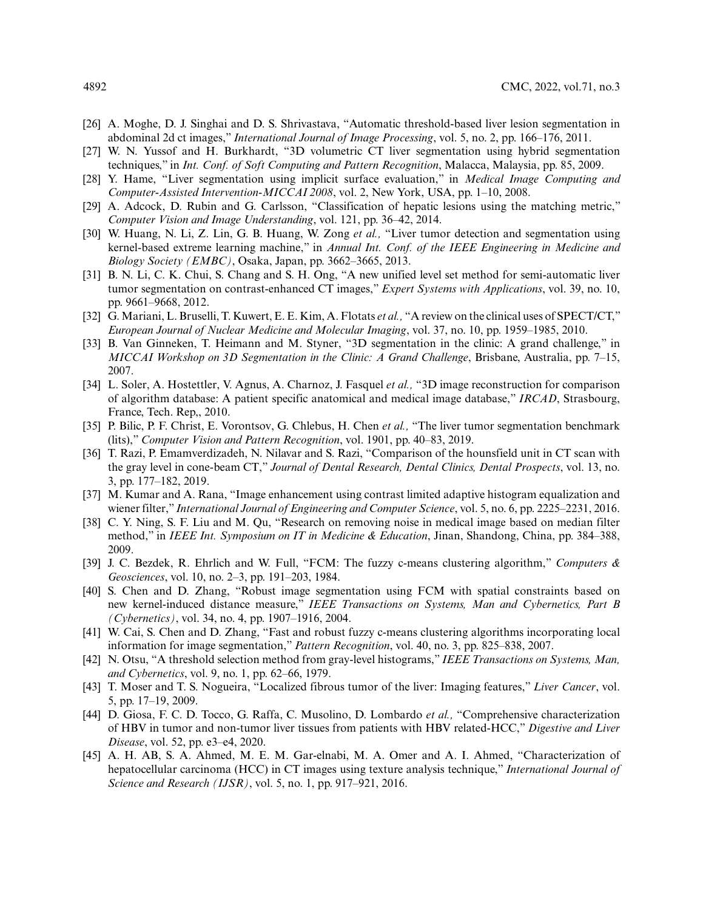- <span id="page-21-0"></span>[26] A. Moghe, D. J. Singhai and D. S. Shrivastava, "Automatic threshold-based liver lesion segmentation in abdominal 2d ct images," *International Journal of Image Processing*, vol. 5, no. 2, pp. 166–176, 2011.
- <span id="page-21-1"></span>[27] W. N. Yussof and H. Burkhardt, "3D volumetric CT liver segmentation using hybrid segmentation techniques," in *Int. Conf. of Soft Computing and Pattern Recognition*, Malacca, Malaysia, pp. 85, 2009.
- <span id="page-21-2"></span>[28] Y. Hame, "Liver segmentation using implicit surface evaluation," in *Medical Image Computing and Computer-Assisted Intervention-MICCAI 2008*, vol. 2, New York, USA, pp. 1–10, 2008.
- <span id="page-21-3"></span>[29] A. Adcock, D. Rubin and G. Carlsson, "Classification of hepatic lesions using the matching metric," *Computer Vision and Image Understanding*, vol. 121, pp. 36–42, 2014.
- <span id="page-21-4"></span>[30] W. Huang, N. Li, Z. Lin, G. B. Huang, W. Zong *et al.,* "Liver tumor detection and segmentation using kernel-based extreme learning machine," in *Annual Int. Conf. of the IEEE Engineering in Medicine and Biology Society (EMBC)*, Osaka, Japan, pp. 3662–3665, 2013.
- <span id="page-21-5"></span>[31] B. N. Li, C. K. Chui, S. Chang and S. H. Ong, "A new unified level set method for semi-automatic liver tumor segmentation on contrast-enhanced CT images," *Expert Systems with Applications*, vol. 39, no. 10, pp. 9661–9668, 2012.
- <span id="page-21-6"></span>[32] G. Mariani, L. Bruselli, T. Kuwert, E. E. Kim, A. Flotats *et al.,* "A review on the clinical uses of SPECT/CT," *European Journal of Nuclear Medicine and Molecular Imaging*, vol. 37, no. 10, pp. 1959–1985, 2010.
- <span id="page-21-7"></span>[33] B. Van Ginneken, T. Heimann and M. Styner, "3D segmentation in the clinic: A grand challenge," in *MICCAI Workshop on 3D Segmentation in the Clinic: A Grand Challenge*, Brisbane, Australia, pp. 7–15, 2007.
- <span id="page-21-8"></span>[34] L. Soler, A. Hostettler, V. Agnus, A. Charnoz, J. Fasquel *et al.,* "3D image reconstruction for comparison of algorithm database: A patient specific anatomical and medical image database," *IRCAD*, Strasbourg, France, Tech. Rep,, 2010.
- <span id="page-21-9"></span>[35] P. Bilic, P. F. Christ, E. Vorontsov, G. Chlebus, H. Chen *et al.,* "The liver tumor segmentation benchmark (lits)," *Computer Vision and Pattern Recognition*, vol. 1901, pp. 40–83, 2019.
- <span id="page-21-10"></span>[36] T. Razi, P. Emamverdizadeh, N. Nilavar and S. Razi, "Comparison of the hounsfield unit in CT scan with the gray level in cone-beam CT," *Journal of Dental Research, Dental Clinics, Dental Prospects*, vol. 13, no. 3, pp. 177–182, 2019.
- <span id="page-21-11"></span>[37] M. Kumar and A. Rana, "Image enhancement using contrast limited adaptive histogram equalization and wiener filter," *International Journal of Engineering and Computer Science*, vol. 5, no. 6, pp. 2225–2231, 2016.
- <span id="page-21-12"></span>[38] C. Y. Ning, S. F. Liu and M. Qu, "Research on removing noise in medical image based on median filter method," in *IEEE Int. Symposium on IT in Medicine & Education*, Jinan, Shandong, China, pp. 384–388, 2009.
- <span id="page-21-13"></span>[39] J. C. Bezdek, R. Ehrlich and W. Full, "FCM: The fuzzy c-means clustering algorithm," *Computers & Geosciences*, vol. 10, no. 2–3, pp. 191–203, 1984.
- <span id="page-21-14"></span>[40] S. Chen and D. Zhang, "Robust image segmentation using FCM with spatial constraints based on new kernel-induced distance measure," *IEEE Transactions on Systems, Man and Cybernetics, Part B (Cybernetics)*, vol. 34, no. 4, pp. 1907–1916, 2004.
- <span id="page-21-15"></span>[41] W. Cai, S. Chen and D. Zhang, "Fast and robust fuzzy c-means clustering algorithms incorporating local information for image segmentation," *Pattern Recognition*, vol. 40, no. 3, pp. 825–838, 2007.
- <span id="page-21-16"></span>[42] N. Otsu, "A threshold selection method from gray-level histograms," *IEEE Transactions on Systems, Man, and Cybernetics*, vol. 9, no. 1, pp. 62–66, 1979.
- <span id="page-21-17"></span>[43] T. Moser and T. S. Nogueira, "Localized fibrous tumor of the liver: Imaging features," *Liver Cancer*, vol. 5, pp. 17–19, 2009.
- <span id="page-21-18"></span>[44] D. Giosa, F. C. D. Tocco, G. Raffa, C. Musolino, D. Lombardo *et al.,* "Comprehensive characterization of HBV in tumor and non-tumor liver tissues from patients with HBV related-HCC," *Digestive and Liver Disease*, vol. 52, pp. e3–e4, 2020.
- <span id="page-21-19"></span>[45] A. H. AB, S. A. Ahmed, M. E. M. Gar-elnabi, M. A. Omer and A. I. Ahmed, "Characterization of hepatocellular carcinoma (HCC) in CT images using texture analysis technique," *International Journal of Science and Research (IJSR)*, vol. 5, no. 1, pp. 917–921, 2016.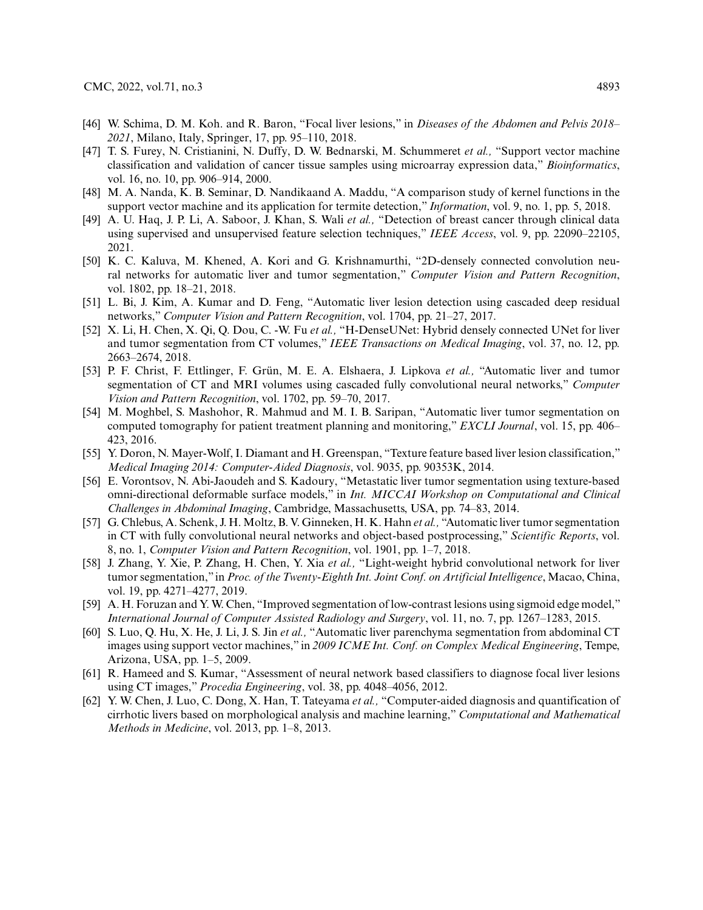- <span id="page-22-0"></span>[46] W. Schima, D. M. Koh. and R. Baron, "Focal liver lesions," in *Diseases of the Abdomen and Pelvis 2018– 2021*, Milano, Italy, Springer, 17, pp. 95–110, 2018.
- <span id="page-22-1"></span>[47] T. S. Furey, N. Cristianini, N. Duffy, D. W. Bednarski, M. Schummeret *et al.,* "Support vector machine classification and validation of cancer tissue samples using microarray expression data," *Bioinformatics*, vol. 16, no. 10, pp. 906–914, 2000.
- <span id="page-22-2"></span>[48] M. A. Nanda, K. B. Seminar, D. Nandikaand A. Maddu, "A comparison study of kernel functions in the support vector machine and its application for termite detection," *Information*, vol. 9, no. 1, pp. 5, 2018.
- <span id="page-22-3"></span>[49] A. U. Haq, J. P. Li, A. Saboor, J. Khan, S. Wali *et al.,* "Detection of breast cancer through clinical data using supervised and unsupervised feature selection techniques," *IEEE Access*, vol. 9, pp. 22090–22105, 2021.
- <span id="page-22-4"></span>[50] K. C. Kaluva, M. Khened, A. Kori and G. Krishnamurthi, "2D-densely connected convolution neural networks for automatic liver and tumor segmentation," *Computer Vision and Pattern Recognition*, vol. 1802, pp. 18–21, 2018.
- <span id="page-22-5"></span>[51] L. Bi, J. Kim, A. Kumar and D. Feng, "Automatic liver lesion detection using cascaded deep residual networks," *Computer Vision and Pattern Recognition*, vol. 1704, pp. 21–27, 2017.
- <span id="page-22-6"></span>[52] X. Li, H. Chen, X. Qi, Q. Dou, C. -W. Fu *et al.,* "H-DenseUNet: Hybrid densely connected UNet for liver and tumor segmentation from CT volumes," *IEEE Transactions on Medical Imaging*, vol. 37, no. 12, pp. 2663–2674, 2018.
- <span id="page-22-7"></span>[53] P. F. Christ, F. Ettlinger, F. Grün, M. E. A. Elshaera, J. Lipkova *et al.,* "Automatic liver and tumor segmentation of CT and MRI volumes using cascaded fully convolutional neural networks," *Computer Vision and Pattern Recognition*, vol. 1702, pp. 59–70, 2017.
- <span id="page-22-8"></span>[54] M. Moghbel, S. Mashohor, R. Mahmud and M. I. B. Saripan, "Automatic liver tumor segmentation on computed tomography for patient treatment planning and monitoring," *EXCLI Journal*, vol. 15, pp. 406– 423, 2016.
- <span id="page-22-9"></span>[55] Y. Doron, N. Mayer-Wolf, I. Diamant and H. Greenspan, "Texture feature based liver lesion classification," *Medical Imaging 2014: Computer-Aided Diagnosis*, vol. 9035, pp. 90353K, 2014.
- <span id="page-22-10"></span>[56] E. Vorontsov, N. Abi-Jaoudeh and S. Kadoury, "Metastatic liver tumor segmentation using texture-based omni-directional deformable surface models," in *Int. MICCAI Workshop on Computational and Clinical Challenges in Abdominal Imaging*, Cambridge, Massachusetts, USA, pp. 74–83, 2014.
- <span id="page-22-11"></span>[57] G. Chlebus, A. Schenk, J. H. Moltz, B. V. Ginneken, H. K. Hahn *et al.,* "Automatic liver tumor segmentation in CT with fully convolutional neural networks and object-based postprocessing," *Scientific Reports*, vol. 8, no. 1, *Computer Vision and Pattern Recognition*, vol. 1901, pp. 1–7, 2018.
- <span id="page-22-12"></span>[58] J. Zhang, Y. Xie, P. Zhang, H. Chen, Y. Xia *et al.,* "Light-weight hybrid convolutional network for liver tumor segmentation,"in *Proc. of the Twenty-Eighth Int. Joint Conf. on Artificial Intelligence*, Macao, China, vol. 19, pp. 4271–4277, 2019.
- <span id="page-22-13"></span>[59] A. H. Foruzan and Y. W. Chen, "Improved segmentation of low-contrast lesions using sigmoid edge model," *International Journal of Computer Assisted Radiology and Surgery*, vol. 11, no. 7, pp. 1267–1283, 2015.
- <span id="page-22-14"></span>[60] S. Luo, Q. Hu, X. He, J. Li, J. S. Jin *et al.,* "Automatic liver parenchyma segmentation from abdominal CT images using support vector machines," in *2009 ICME Int. Conf. on Complex Medical Engineering*, Tempe, Arizona, USA, pp. 1–5, 2009.
- <span id="page-22-15"></span>[61] R. Hameed and S. Kumar, "Assessment of neural network based classifiers to diagnose focal liver lesions using CT images," *Procedia Engineering*, vol. 38, pp. 4048–4056, 2012.
- <span id="page-22-16"></span>[62] Y. W. Chen, J. Luo, C. Dong, X. Han, T. Tateyama *et al.,* "Computer-aided diagnosis and quantification of cirrhotic livers based on morphological analysis and machine learning," *Computational and Mathematical Methods in Medicine*, vol. 2013, pp. 1–8, 2013.